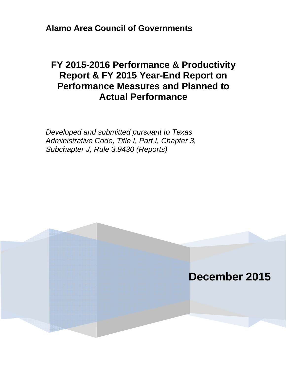**Alamo Area Council of Governments**

# **FY 2015-2016 Performance & Productivity Report & FY 2015 Year-End Report on Performance Measures and Planned to Actual Performance**

*Developed and submitted pursuant to Texas Administrative Code, Title I, Part I, Chapter 3, Subchapter J, Rule 3.9430 (Reports)* 

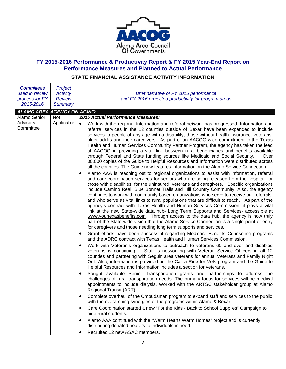

## **FY 2015-2016 Performance & Productivity Report & FY 2015 Year-End Report on Performance Measures and Planned to Actual Performance**

# **STATE FINANCIAL ASSISTANCE ACTIVITY INFORMATION**

| <b>Committees</b><br>used in review<br>process for FY<br>2015-2016 | Project<br><b>Activity</b><br><b>Review</b><br><b>Summary</b> | Brief narrative of FY 2015 performance<br>and FY 2016 projected productivity for program areas                                                                                                                                                                                                                                                                                                                                                                                                                                                                                                                                                                                                                                                                                                                                                                                                                                                                                                                                                                                                                                                                                                                                                                                                                                                                                                                                                                                                                                                                                                                                                                                                                                                                                                                                                                                                                                                                                                                                                                                                                                                                                                                                                                                                                                                                                                                                                                                                                                                                                                                                                                                                                                                                                                                                                                                                                                                                                                                                                                                                                                                                                                                                             |
|--------------------------------------------------------------------|---------------------------------------------------------------|--------------------------------------------------------------------------------------------------------------------------------------------------------------------------------------------------------------------------------------------------------------------------------------------------------------------------------------------------------------------------------------------------------------------------------------------------------------------------------------------------------------------------------------------------------------------------------------------------------------------------------------------------------------------------------------------------------------------------------------------------------------------------------------------------------------------------------------------------------------------------------------------------------------------------------------------------------------------------------------------------------------------------------------------------------------------------------------------------------------------------------------------------------------------------------------------------------------------------------------------------------------------------------------------------------------------------------------------------------------------------------------------------------------------------------------------------------------------------------------------------------------------------------------------------------------------------------------------------------------------------------------------------------------------------------------------------------------------------------------------------------------------------------------------------------------------------------------------------------------------------------------------------------------------------------------------------------------------------------------------------------------------------------------------------------------------------------------------------------------------------------------------------------------------------------------------------------------------------------------------------------------------------------------------------------------------------------------------------------------------------------------------------------------------------------------------------------------------------------------------------------------------------------------------------------------------------------------------------------------------------------------------------------------------------------------------------------------------------------------------------------------------------------------------------------------------------------------------------------------------------------------------------------------------------------------------------------------------------------------------------------------------------------------------------------------------------------------------------------------------------------------------------------------------------------------------------------------------------------------------|
| <b>ALAMO AREA AGENCY ON AGING:</b>                                 |                                                               |                                                                                                                                                                                                                                                                                                                                                                                                                                                                                                                                                                                                                                                                                                                                                                                                                                                                                                                                                                                                                                                                                                                                                                                                                                                                                                                                                                                                                                                                                                                                                                                                                                                                                                                                                                                                                                                                                                                                                                                                                                                                                                                                                                                                                                                                                                                                                                                                                                                                                                                                                                                                                                                                                                                                                                                                                                                                                                                                                                                                                                                                                                                                                                                                                                            |
| Alamo Senior<br>Advisory<br>Committee                              | <b>Not</b><br>Applicable                                      | 2015 Actual Performance Measures:<br>$\bullet$<br>Work with the regional information and referral network has progressed. Information and<br>referral services in the 12 counties outside of Bexar have been expanded to include<br>services to people of any age with a disability, those without health insurance, veterans,<br>older adults and their caregivers. As part of an AACOG-wide commitment to the Texas<br>Health and Human Services Community Partner Program, the agency has taken the lead<br>at AACOG in providing a vital link between rural beneficiaries and benefits available<br>through Federal and State funding sources like Medicaid and Social Security.<br>Over<br>30,000 copies of the Guide to Helpful Resources and Information were distributed across<br>all the counties. The Guide now features information on the Alamo Service Connection.<br>Alamo AAA is reaching out to regional organizations to assist with information, referral<br>$\bullet$<br>and care coordination services for seniors who are being released from the hospital, for<br>those with disabilities, for the uninsured, veterans and caregivers. Specific organizations<br>include Camino Real, Blue Bonnet Trails and Hill Country Community. Also, the agency<br>continues to work with community based organizations who serve to receive our referrals,<br>and who serve as vital links to rural populations that are difficult to reach. As part of the<br>agency's contract with Texas Health and Human Services Commission, it plays a vital<br>link at the new State-wide data hub- Long Term Supports and Services- accessible at<br>www.yourtexasbenefits.com. Through access to the data hub, the agency is now truly<br>part of the State-wide vision that the Alamo Service Connection is a single point of entry<br>for caregivers and those needing long term supports and services.<br>Grant efforts have been successful regarding Medicare Benefits Counseling programs<br>٠<br>and the ADRC contract with Texas Health and Human Services Commission.<br>Work with Veteran's organizations to outreach to veterans 60 and over and disabled<br>٠<br>Staff is networking with Veteran Service Officers in all 12<br>veterans is continuing.<br>counties and partnering with Seguin area veterans for annual Veterans and Family Night<br>Out. Also, information is provided on the Call a Ride for Vets program and the Guide to<br>Helpful Resources and Information includes a section for veterans.<br>Sought available Senior Transportation grants and partnerships to address the<br>٠<br>challenges of rural transportation needs. The primary focus for services will be medical<br>appointments to include dialysis. Worked with the ARTSC stakeholder group at Alamo<br>Regional Transit (ART).<br>Complete overhaul of the Ombudsman program to expand staff and services to the public<br>$\bullet$<br>with the overarching synergies of the programs within Alamo & Bexar.<br>Care Coordination started a new "For the Kids - Back to School Supplies" Campaign to<br>$\bullet$<br>aide rural students.<br>Alamo AAA continued with the "Warm Hearts Warm Homes" project and is currently<br>٠ |
|                                                                    |                                                               | distributing donated heaters to individuals in need.<br>Recruited 12 new ASAC members.<br>٠                                                                                                                                                                                                                                                                                                                                                                                                                                                                                                                                                                                                                                                                                                                                                                                                                                                                                                                                                                                                                                                                                                                                                                                                                                                                                                                                                                                                                                                                                                                                                                                                                                                                                                                                                                                                                                                                                                                                                                                                                                                                                                                                                                                                                                                                                                                                                                                                                                                                                                                                                                                                                                                                                                                                                                                                                                                                                                                                                                                                                                                                                                                                                |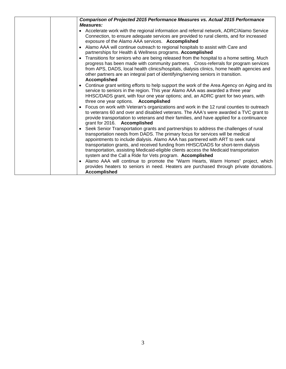| <b>Comparison of Projected 2015 Performance Measures vs. Actual 2015 Performance</b><br><b>Measures:</b>                                                                                                                                                                                                                                                                                                                                                                                                 |
|----------------------------------------------------------------------------------------------------------------------------------------------------------------------------------------------------------------------------------------------------------------------------------------------------------------------------------------------------------------------------------------------------------------------------------------------------------------------------------------------------------|
| • Accelerate work with the regional information and referral network, ADRC/Alamo Service<br>Connection, to ensure adequate services are provided to rural clients, and for increased<br>exposure of the Alamo AAA services. Accomplished                                                                                                                                                                                                                                                                 |
| Alamo AAA will continue outreach to regional hospitals to assist with Care and<br>partnerships for Health & Wellness programs. Accomplished                                                                                                                                                                                                                                                                                                                                                              |
| Transitions for seniors who are being released from the hospital to a home setting. Much<br>progress has been made with community partners. Cross-referrals for program services<br>from APS, DADS, local health clinics/hospitals, dialysis clinics, home health agencies and<br>other partners are an integral part of identifying/serving seniors in transition.<br><b>Accomplished</b>                                                                                                               |
| Continue grant writing efforts to help support the work of the Area Agency on Aging and its<br>service to seniors in the region. This year Alamo AAA was awarded a three year<br>HHSC/DADS grant, with four one year options; and, an ADRC grant for two years, with<br>three one year options. Accomplished                                                                                                                                                                                             |
| Focus on work with Veteran's organizations and work in the 12 rural counties to outreach<br>to veterans 60 and over and disabled veterans. The AAA's were awarded a TVC grant to<br>provide transportation to veterans and their families, and have applied for a continuance<br>grant for 2016. Accomplished                                                                                                                                                                                            |
| Seek Senior Transportation grants and partnerships to address the challenges of rural<br>transportation needs from DADS. The primary focus for services will be medical<br>appointments to include dialysis. Alamo AAA has partnered with ART to seek rural<br>transportation grants, and received funding from HHSC/DADS for short-term dialysis<br>transportation, assisting Medicaid-eligible clients access the Medicaid transportation<br>system and the Call a Ride for Vets program. Accomplished |
| Alamo AAA will continue to promote the "Warm Hearts, Warm Homes" project, which<br>provides heaters to seniors in need. Heaters are purchased through private donations.<br><b>Accomplished</b>                                                                                                                                                                                                                                                                                                          |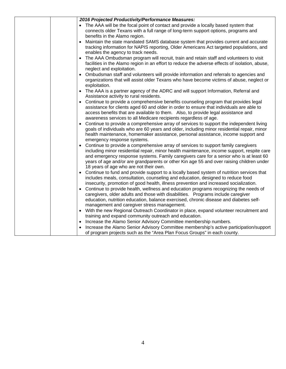| 2016 Projected Productivity/Performance Measures:                                                                                                                                                                                                                                                                                                                                                                |
|------------------------------------------------------------------------------------------------------------------------------------------------------------------------------------------------------------------------------------------------------------------------------------------------------------------------------------------------------------------------------------------------------------------|
| The AAA will be the focal point of contact and provide a locally based system that                                                                                                                                                                                                                                                                                                                               |
| connects older Texans with a full range of long-term support options, programs and                                                                                                                                                                                                                                                                                                                               |
| benefits in the Alamo region.                                                                                                                                                                                                                                                                                                                                                                                    |
| Maintain the state mandated SAMS database system that provides current and accurate<br>٠<br>tracking information for NAPIS reporting, Older Americans Act targeted populations, and<br>enables the agency to track needs.                                                                                                                                                                                        |
| The AAA Ombudsman program will recruit, train and retain staff and volunteers to visit<br>facilities in the Alamo region in an effort to reduce the adverse effects of isolation, abuse,<br>neglect and exploitation.                                                                                                                                                                                            |
| Ombudsman staff and volunteers will provide information and referrals to agencies and<br>organizations that will assist older Texans who have become victims of abuse, neglect or<br>exploitation.                                                                                                                                                                                                               |
| The AAA is a partner agency of the ADRC and will support Information, Referral and<br>Assistance activity to rural residents.                                                                                                                                                                                                                                                                                    |
| Continue to provide a comprehensive benefits counseling program that provides legal<br>$\bullet$<br>assistance for clients aged 60 and older in order to ensure that individuals are able to<br>access benefits that are available to them. Also, to provide legal assistance and<br>awareness services to all Medicare recipients regardless of age.                                                            |
| Continue to provide a comprehensive array of services to support the independent living<br>goals of individuals who are 60 years and older, including minor residential repair, minor<br>health maintenance, homemaker assistance, personal assistance, income support and<br>emergency response systems.                                                                                                        |
| Continue to provide a comprehensive array of services to support family caregivers<br>including minor residential repair, minor health maintenance, income support, respite care<br>and emergency response systems. Family caregivers care for a senior who is at least 60<br>years of age and/or are grandparents or other Kin age 55 and over raising children under<br>18 years of age who are not their own. |
| Continue to fund and provide support to a locally based system of nutrition services that<br>includes meals, consultation, counseling and education, designed to reduce food<br>insecurity, promotion of good health, illness prevention and increased socialization.                                                                                                                                            |
| Continue to provide health, wellness and education programs recognizing the needs of<br>caregivers, older adults and those with disabilities. Programs include caregiver<br>education, nutrition education, balance exercised, chronic disease and diabetes self-<br>management and caregiver stress management.                                                                                                 |
| With the new Regional Outreach Coordinator in place, expand volunteer recruitment and<br>$\bullet$<br>training and expand community outreach and education.                                                                                                                                                                                                                                                      |
| Increase the Alamo Senior Advisory Committee membership numbers.                                                                                                                                                                                                                                                                                                                                                 |
| Increase the Alamo Senior Advisory Committee membership's active participation/support<br>of program projects such as the "Area Plan Focus Groups" in each county.                                                                                                                                                                                                                                               |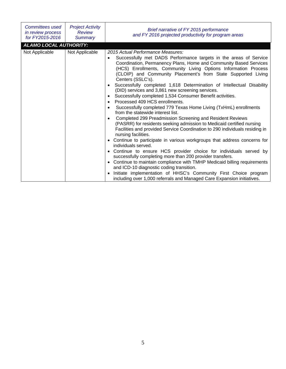| Committees used<br>in review process<br>for FY2015-2016 | <b>Project Activity</b><br><b>Review</b><br><b>Summary</b> | Brief narrative of FY 2015 performance<br>and FY 2016 projected productivity for program areas                                                                                                                                                                                                                                                                                                                                                                                                                                                                                                                                                                                                                                                                                                                                                                                                                                                                                                                                                                                                                                                                                                                                                                                                                                                                                                                                                                                                                |
|---------------------------------------------------------|------------------------------------------------------------|---------------------------------------------------------------------------------------------------------------------------------------------------------------------------------------------------------------------------------------------------------------------------------------------------------------------------------------------------------------------------------------------------------------------------------------------------------------------------------------------------------------------------------------------------------------------------------------------------------------------------------------------------------------------------------------------------------------------------------------------------------------------------------------------------------------------------------------------------------------------------------------------------------------------------------------------------------------------------------------------------------------------------------------------------------------------------------------------------------------------------------------------------------------------------------------------------------------------------------------------------------------------------------------------------------------------------------------------------------------------------------------------------------------------------------------------------------------------------------------------------------------|
| <b>ALAMO LOCAL AUTHORITY:</b>                           |                                                            |                                                                                                                                                                                                                                                                                                                                                                                                                                                                                                                                                                                                                                                                                                                                                                                                                                                                                                                                                                                                                                                                                                                                                                                                                                                                                                                                                                                                                                                                                                               |
| Not Applicable                                          | Not Applicable                                             | 2015 Actual Performance Measures:<br>Successfully met DADS Performance targets in the areas of Service<br>$\bullet$<br>Coordination, Permanency Plans, Home and Community Based Services<br>(HCS) Enrollments, Community Living Options Information Process<br>(CLOIP) and Community Placement's from State Supported Living<br>Centers (SSLC's).<br>Successfully completed 1,618 Determination of Intellectual Disability<br>$\bullet$<br>(DID) services and 3,861 new screening services.<br>Successfully completed 1,534 Consumer Benefit activities.<br>$\bullet$<br>Processed 409 HCS enrollments.<br>$\bullet$<br>Successfully completed 779 Texas Home Living (TxHmL) enrollments<br>$\bullet$<br>from the statewide interest list.<br>Completed 299 Preadmission Screening and Resident Reviews<br>(PASRR) for residents seeking admission to Medicaid certified nursing<br>Facilities and provided Service Coordination to 290 individuals residing in<br>nursing facilities.<br>Continue to participate in various workgroups that address concerns for<br>$\bullet$<br>individuals served.<br>Continue to ensure HCS provider choice for individuals served by<br>successfully completing more than 200 provider transfers.<br>• Continue to maintain compliance with TMHP Medicaid billing requirements<br>and ICD-10 diagnostic coding transition.<br>Initiate implementation of HHSC's Community First Choice program<br>including over 1,000 referrals and Managed Care Expansion initiatives. |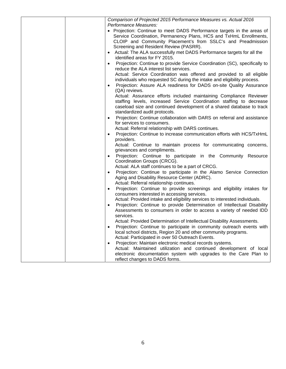|  | Comparison of Projected 2015 Performance Measures vs. Actual 2016                                                                          |
|--|--------------------------------------------------------------------------------------------------------------------------------------------|
|  | Performance Measures:                                                                                                                      |
|  | • Projection: Continue to meet DADS Performance targets in the areas of                                                                    |
|  | Service Coordination, Permanency Plans, HCS and TxHmL Enrollments,                                                                         |
|  | CLOIP and Community Placement's from SSLC's and Preadmission                                                                               |
|  | Screening and Resident Review (PASRR).                                                                                                     |
|  | • Actual: The ALA successfully met DADS Performance targets for all the                                                                    |
|  | identified areas for FY 2015.                                                                                                              |
|  | Projection: Continue to provide Service Coordination (SC), specifically to                                                                 |
|  | reduce the ALA interest list services.                                                                                                     |
|  | Actual: Service Coordination was offered and provided to all eligible                                                                      |
|  | individuals who requested SC during the intake and eligibility process.                                                                    |
|  |                                                                                                                                            |
|  | Projection: Assure ALA readiness for DADS on-site Quality Assurance                                                                        |
|  | (QA) reviews.                                                                                                                              |
|  | Actual: Assurance efforts included maintaining Compliance Reviewer<br>staffing levels, increased Service Coordination staffing to decrease |
|  |                                                                                                                                            |
|  | caseload size and continued development of a shared database to track                                                                      |
|  | standardized audit protocols.                                                                                                              |
|  | Projection: Continue collaboration with DARS on referral and assistance<br>$\bullet$                                                       |
|  | for services to consumers.                                                                                                                 |
|  | Actual: Referral relationship with DARS continues.                                                                                         |
|  | Projection: Continue to increase communication efforts with HCS/TxHmL<br>$\bullet$                                                         |
|  | providers.                                                                                                                                 |
|  | Actual: Continue to maintain process for communicating concerns,                                                                           |
|  | grievances and compliments.                                                                                                                |
|  | Projection: Continue to participate in the Community Resource<br>Coordination Groups (CRCG).                                               |
|  | Actual: ALA staff continues to be a part of CRCG.                                                                                          |
|  | Projection: Continue to participate in the Alamo Service Connection                                                                        |
|  | Aging and Disability Resource Center (ADRC).                                                                                               |
|  | Actual: Referral relationship continues.                                                                                                   |
|  | Projection: Continue to provide screenings and eligibility intakes for                                                                     |
|  | consumers interested in accessing services.                                                                                                |
|  | Actual: Provided intake and eligibility services to interested individuals.                                                                |
|  | Projection: Continue to provide Determination of Intellectual Disability                                                                   |
|  | Assessments to consumers in order to access a variety of needed IDD                                                                        |
|  | services.                                                                                                                                  |
|  | Actual: Provided Determination of Intellectual Disability Assessments.                                                                     |
|  | Projection: Continue to participate in community outreach events with                                                                      |
|  | local school districts, Region 20 and other community programs.                                                                            |
|  | Actual: Participated in over 50 Outreach Events.                                                                                           |
|  | Projection: Maintain electronic medical records systems.<br>$\bullet$                                                                      |
|  | Actual: Maintained utilization and continued development of local                                                                          |
|  | electronic documentation system with upgrades to the Care Plan to                                                                          |
|  | reflect changes to DADS forms.                                                                                                             |
|  |                                                                                                                                            |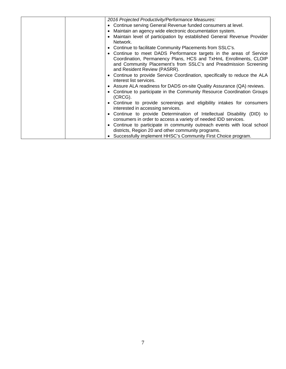| 2016 Projected Productivity/Performance Measures:                                                                                                                                                                                           |
|---------------------------------------------------------------------------------------------------------------------------------------------------------------------------------------------------------------------------------------------|
| • Continue serving General Revenue funded consumers at level.                                                                                                                                                                               |
| • Maintain an agency wide electronic documentation system.                                                                                                                                                                                  |
| • Maintain level of participation by established General Revenue Provider<br>Network.                                                                                                                                                       |
| • Continue to facilitate Community Placements from SSLC's.                                                                                                                                                                                  |
| • Continue to meet DADS Performance targets in the areas of Service<br>Coordination, Permanency Plans, HCS and TxHmL Enrollments, CLOIP<br>and Community Placement's from SSLC's and Preadmission Screening<br>and Resident Review (PASRR). |
| • Continue to provide Service Coordination, specifically to reduce the ALA<br>interest list services.                                                                                                                                       |
| • Assure ALA readiness for DADS on-site Quality Assurance (QA) reviews.                                                                                                                                                                     |
| • Continue to participate in the Community Resource Coordination Groups<br>(CRCG).                                                                                                                                                          |
| • Continue to provide screenings and eligibility intakes for consumers<br>interested in accessing services.                                                                                                                                 |
| • Continue to provide Determination of Intellectual Disability (DID) to<br>consumers in order to access a variety of needed IDD services.                                                                                                   |
| • Continue to participate in community outreach events with local school<br>districts, Region 20 and other community programs.                                                                                                              |
| • Successfully implement HHSC's Community First Choice program.                                                                                                                                                                             |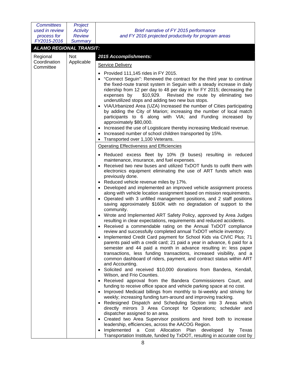| <b>Committees</b><br>used in review<br>process for<br>FY2015-2016 | Project<br><b>Activity</b><br><b>Review</b> | Brief narrative of FY 2015 performance<br>and FY 2016 projected productivity for program areas                                                                                                                                                                                                                                                                                                                                                                                                                                                                                                                                                                                                                                                                                                                                                                                                                                                                                                                                                                                                                                                                                                                                                                                                                                                                                                                                                                                                               |
|-------------------------------------------------------------------|---------------------------------------------|--------------------------------------------------------------------------------------------------------------------------------------------------------------------------------------------------------------------------------------------------------------------------------------------------------------------------------------------------------------------------------------------------------------------------------------------------------------------------------------------------------------------------------------------------------------------------------------------------------------------------------------------------------------------------------------------------------------------------------------------------------------------------------------------------------------------------------------------------------------------------------------------------------------------------------------------------------------------------------------------------------------------------------------------------------------------------------------------------------------------------------------------------------------------------------------------------------------------------------------------------------------------------------------------------------------------------------------------------------------------------------------------------------------------------------------------------------------------------------------------------------------|
| <b>ALAMO REGIONAL TRANSIT:</b>                                    | <b>Summary</b>                              |                                                                                                                                                                                                                                                                                                                                                                                                                                                                                                                                                                                                                                                                                                                                                                                                                                                                                                                                                                                                                                                                                                                                                                                                                                                                                                                                                                                                                                                                                                              |
|                                                                   |                                             |                                                                                                                                                                                                                                                                                                                                                                                                                                                                                                                                                                                                                                                                                                                                                                                                                                                                                                                                                                                                                                                                                                                                                                                                                                                                                                                                                                                                                                                                                                              |
| Regional<br>Coordination                                          | Not<br>Applicable                           | 2015 Accomplishments:                                                                                                                                                                                                                                                                                                                                                                                                                                                                                                                                                                                                                                                                                                                                                                                                                                                                                                                                                                                                                                                                                                                                                                                                                                                                                                                                                                                                                                                                                        |
| Committee                                                         |                                             | <b>Service Delivery</b>                                                                                                                                                                                                                                                                                                                                                                                                                                                                                                                                                                                                                                                                                                                                                                                                                                                                                                                                                                                                                                                                                                                                                                                                                                                                                                                                                                                                                                                                                      |
|                                                                   |                                             | Provided 111,145 rides in FY 2015.<br>"Connect Seguin": Renewed the contract for the third year to continue<br>the fixed-route transit system in Seguin with a steady increase in daily<br>ridership from 12 per day to 48 per day in for FY 2015; decreasing the<br>Revised the route by eliminating two<br>expenses by<br>\$10,929.<br>underutilized stops and adding two new bus stops.<br>VIA/Urbanized Area (UZA) Increased the number of Cities participating<br>by adding the City of Marion; increasing the number of local match<br>participants to 6 along with VIA; and Funding increased by<br>approximately \$80,000.<br>Increased the use of Logisticare thereby increasing Medicaid revenue.<br>Increased number of school children transported by 15%.                                                                                                                                                                                                                                                                                                                                                                                                                                                                                                                                                                                                                                                                                                                                       |
|                                                                   |                                             | Transported over 1,100 Veterans.                                                                                                                                                                                                                                                                                                                                                                                                                                                                                                                                                                                                                                                                                                                                                                                                                                                                                                                                                                                                                                                                                                                                                                                                                                                                                                                                                                                                                                                                             |
|                                                                   |                                             | Operating Effectiveness and Efficiencies                                                                                                                                                                                                                                                                                                                                                                                                                                                                                                                                                                                                                                                                                                                                                                                                                                                                                                                                                                                                                                                                                                                                                                                                                                                                                                                                                                                                                                                                     |
|                                                                   |                                             | Reduced excess fleet by 10% (9 buses) resulting in reduced<br>maintenance, insurance, and fuel expenses.<br>Received two new buses and utilized TxDOT funds to outfit them with<br>electronics equipment eliminating the use of ART funds which was<br>previously done.<br>Reduced vehicle revenue miles by 17%.<br>Developed and implemented an improved vehicle assignment process                                                                                                                                                                                                                                                                                                                                                                                                                                                                                                                                                                                                                                                                                                                                                                                                                                                                                                                                                                                                                                                                                                                         |
|                                                                   |                                             | along with vehicle location assignment based on mission requirements.<br>Operated with 3 unfilled management positions, and 2 staff positions<br>saving approximately \$160K with no degradation of support to the<br>community.<br>Wrote and Implemented ART Safety Policy, approved by Area Judges<br>$\bullet$<br>resulting in clear expectations, requirements and reduced accidents.<br>Received a commendable rating on the Annual TxDOT compliance<br>review and successfully completed annual TxDOT vehicle inventory.<br>Implemented Credit Card payment for School Kids via CIVIC Plus; 71<br>parents paid with a credit card; 21 paid a year in advance, 6 paid for a<br>semester and 44 paid a month in advance resulting in: less paper<br>transactions, less funding transactions, increased visibility, and a<br>common dashboard of riders, payment, and contract status within ART<br>and Accounting.<br>• Solicited and received \$10,000 donations from Bandera, Kendall,<br>Wilson, and Frio Counties.<br>Received approval from the Bandera Commissioners Court, and<br>$\bullet$<br>funding to receive office space and vehicle parking space at no cost.<br>Improved Medicaid billings from monthly to bi-weekly and striving for<br>weekly; increasing funding turn-around and improving tracking.<br>Redesigned Dispatch and Scheduling Section into 3 Areas which<br>$\bullet$<br>directly mirrors 3 Area Concept for Operations; scheduler and<br>dispatcher assigned to an area. |
|                                                                   |                                             | Created two Area Supervisor positions and hired both to increase<br>$\bullet$<br>leadership, efficiencies, across the AACOG Region.<br>Implemented<br>a Cost Allocation Plan developed<br>by<br>Texas<br>$\bullet$<br>Transportation Institute, funded by TxDOT, resulting in accurate cost by                                                                                                                                                                                                                                                                                                                                                                                                                                                                                                                                                                                                                                                                                                                                                                                                                                                                                                                                                                                                                                                                                                                                                                                                               |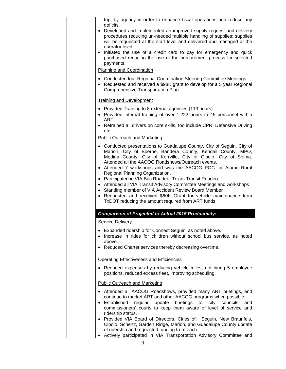| trip, by agency in order to enhance fiscal operations and reduce any<br>deficits.<br>Developed and implemented an improved supply request and delivery<br>$\bullet$<br>procedures reducing un-needed multiple handling of supplies; supplies<br>will be requested at the staff level and delivered and managed at the<br>operator level.<br>Initiated the use of a credit card to pay for emergency and quick<br>$\bullet$<br>purchased reducing the use of the procurement process for selected<br>payments.                                                                                                                                                                                                  |
|----------------------------------------------------------------------------------------------------------------------------------------------------------------------------------------------------------------------------------------------------------------------------------------------------------------------------------------------------------------------------------------------------------------------------------------------------------------------------------------------------------------------------------------------------------------------------------------------------------------------------------------------------------------------------------------------------------------|
| <b>Planning and Coordination</b>                                                                                                                                                                                                                                                                                                                                                                                                                                                                                                                                                                                                                                                                               |
| • Conducted four Regional Coordination Steering Committee Meetings.<br>• Requested and received a \$98K grant to develop for a 5 year Regional<br>Comprehensive Transportation Plan                                                                                                                                                                                                                                                                                                                                                                                                                                                                                                                            |
| <b>Training and Development</b>                                                                                                                                                                                                                                                                                                                                                                                                                                                                                                                                                                                                                                                                                |
| • Provided Training to 8 external agencies (113 hours)<br>• Provided internal training of over 1,222 hours to 45 personnel within<br>ART.<br>Retrained all drivers on core skills, too include CPR, Defensive Driving<br>$\bullet$<br>etc.<br><b>Public Outreach and Marketing</b>                                                                                                                                                                                                                                                                                                                                                                                                                             |
| • Conducted presentations to Guadalupe County, City of Seguin, City of<br>Marion, City of Boerne, Bandera County, Kendall County, MPO,<br>Medina County, City of Kerrville, City of Cibolo, City of Selma.<br>Attended all the AACOG Roadshows/Outreach events.<br>• Attended 7 workshops and was the AACOG POC for Alamo Rural<br>Regional Planning Organization.<br>• Participated in VIA Bus Roadeo, Texas Transit Roadeo<br>• Attended all VIA Transit Advisory Committee Meetings and workshops<br>Standing member of VIA Accident Review Board Member<br>$\bullet$<br>Requested and received \$60K Grant for vehicle maintenance from<br>$\bullet$<br>TxDOT reducing the amount required from ART funds. |
| <b>Comparison of Projected to Actual 2015 Productivity:</b>                                                                                                                                                                                                                                                                                                                                                                                                                                                                                                                                                                                                                                                    |
| <b>Service Delivery</b>                                                                                                                                                                                                                                                                                                                                                                                                                                                                                                                                                                                                                                                                                        |
| Expanded ridership for Connect Seguin, as noted above.<br>Increase in rides for children without school bus service, as noted<br>above.<br>Reduced Charter services thereby decreasing overtime.                                                                                                                                                                                                                                                                                                                                                                                                                                                                                                               |
| <b>Operating Effectiveness and Efficiencies</b>                                                                                                                                                                                                                                                                                                                                                                                                                                                                                                                                                                                                                                                                |
| Reduced expenses by reducing vehicle miles, not hiring 5 employee<br>positions, reduced excess fleet, improving scheduling.                                                                                                                                                                                                                                                                                                                                                                                                                                                                                                                                                                                    |
| <b>Public Outreach and Marketing</b>                                                                                                                                                                                                                                                                                                                                                                                                                                                                                                                                                                                                                                                                           |
| • Attended all AACOG Roadshows, provided many ART briefings, and<br>continue to market ART and other AACOG programs when possible.<br>briefings to city councils<br>Established<br>regular<br>update<br>and<br>$\bullet$<br>commissioners' courts to keep them aware of level of service and<br>ridership status.<br>Provided VIA Board of Directors, Cities of: Seguin, New Braunfels,<br>$\bullet$<br>Cibolo, Schertz, Garden Ridge, Marion, and Guadalupe County update<br>of ridership and requested funding from each.                                                                                                                                                                                    |
| Actively participated in VIA Transportation Advisory Committee and<br>$\bullet$                                                                                                                                                                                                                                                                                                                                                                                                                                                                                                                                                                                                                                |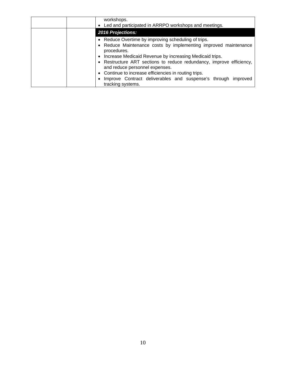| workshops.<br>• Led and participated in ARRPO workshops and meetings.                                  |
|--------------------------------------------------------------------------------------------------------|
| <b>2016 Projections:</b>                                                                               |
| • Reduce Overtime by improving scheduling of trips.                                                    |
| • Reduce Maintenance costs by implementing improved maintenance<br>procedures.                         |
| • Increase Medicaid Revenue by increasing Medicaid trips.                                              |
| • Restructure ART sections to reduce redundancy, improve efficiency,<br>and reduce personnel expenses. |
| • Continue to increase efficiencies in routing trips.                                                  |
| Improve Contract deliverables and suspense's through improved<br>tracking systems.                     |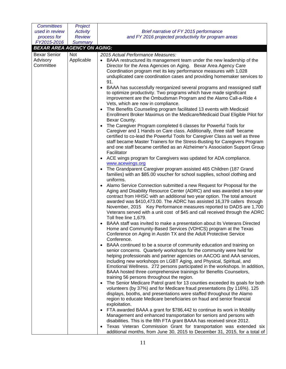| <b>Committees</b>                  | Project         |                                                                                                                                                                                                                                                                                                                                                                                                                                                                                                 |
|------------------------------------|-----------------|-------------------------------------------------------------------------------------------------------------------------------------------------------------------------------------------------------------------------------------------------------------------------------------------------------------------------------------------------------------------------------------------------------------------------------------------------------------------------------------------------|
| used in review                     | <b>Activity</b> | Brief narrative of FY 2015 performance                                                                                                                                                                                                                                                                                                                                                                                                                                                          |
| process for                        | <b>Review</b>   | and FY 2016 projected productivity for program areas                                                                                                                                                                                                                                                                                                                                                                                                                                            |
| FY2015-2016                        | <b>Summary</b>  |                                                                                                                                                                                                                                                                                                                                                                                                                                                                                                 |
| <b>BEXAR AREA AGENCY ON AGING:</b> |                 |                                                                                                                                                                                                                                                                                                                                                                                                                                                                                                 |
| <b>Bexar Senior</b>                | Not             | 2015 Actual Performance Measures:                                                                                                                                                                                                                                                                                                                                                                                                                                                               |
| Advisory<br>Committee              | Applicable      | BAAA restructured its management team under the new leadership of the<br>Director for the Area Agencies on Aging. Bexar Area Agency Care<br>Coordination program met its key performance measures with 1,028<br>unduplicated care coordination cases and providing homemaker services to<br>91.                                                                                                                                                                                                 |
|                                    |                 | • BAAA has successfully reorganized several programs and reassigned staff<br>to optimize productivity. Two programs which have made significant<br>improvement are the Ombudsman Program and the Alamo Call-a-Ride 4<br>Vets, which are now in compliance.<br>• The Benefits Counseling program facilitated 13 events with Medicaid                                                                                                                                                             |
|                                    |                 | Enrollment Broker Maximus on the Medicare/Medicaid Dual Eligible Pilot for<br>Bexar County.                                                                                                                                                                                                                                                                                                                                                                                                     |
|                                    |                 | The Caregiver Program completed 6 classes for Powerful Tools for<br>Caregiver and 1 Hands on Care class. Additionally, three staff became<br>certified to co-lead the Powerful Tools for Caregiver Class as well as three<br>staff became Master Trainers for the Stress-Busting for Caregivers Program<br>and one staff became certified as an Alzheimer's Association Support Group<br>Facilitator                                                                                            |
|                                    |                 | • ACE wings program for Caregivers was updated for ADA compliance.<br>www.acewings.org                                                                                                                                                                                                                                                                                                                                                                                                          |
|                                    |                 | The Grandparent Caregiver program assisted 465 Children (187 Grand<br>families) with an \$85.00 voucher for school supplies, school clothing and<br>uniforms.                                                                                                                                                                                                                                                                                                                                   |
|                                    |                 | • Alamo Service Connection submitted a new Request for Proposal for the<br>Aging and Disability Resource Center (ADRC) and was awarded a two-year<br>contract from HHSC with an additional two year option. The total amount<br>awarded was \$410,473.00. The ADRC has assisted 16,379 callers through<br>November, 2015 Key Performance measures reported to DADS are 1,700<br>Veterans served with a unit cost of \$45 and call received through the ADRC<br>Toll free line 1,679.            |
|                                    |                 | BAAA staff was invited to make a presentation about its Veterans Directed<br>Home and Community-Based Services (VDHCS) program at the Texas<br>Conference on Aging in Austin TX and the Adult Protective Service<br>Conference.                                                                                                                                                                                                                                                                 |
|                                    |                 | BAAA continued to be a source of community education and training on<br>senior concerns. Quarterly workshops for the community were held for<br>helping professionals and partner agencies on AACOG and AAA services,<br>including new workshops on LGBT Aging, and Physical, Spiritual, and<br>Emotional Wellness. 272 persons participated in the workshops. In addition,<br>BAAA hosted three comprehensive trainings for Benefits Counselors,<br>training 56 persons throughout the region. |
|                                    |                 | The Senior Medicare Patrol grant for 13 counties exceeded its goals for both<br>volunteers (by 37%) and for Medicare fraud presentations (by 116%). 125<br>displays, booths, and presentations were staffed throughout the Alamo<br>region to educate Medicare beneficiaries on fraud and senior financial<br>exploitation.                                                                                                                                                                     |
|                                    |                 | • FTA awarded BAAA a grant for \$786,442 to continue its work in Mobility<br>Management and enhanced transportation for seniors and persons with<br>disabilities. This is the fifth FTA grant BAAA has received since 2012.<br>Texas Veteran Commission Grant for transportation was extended six<br>additional months, from June 30, 2015 to December 31, 2015, for a total of                                                                                                                 |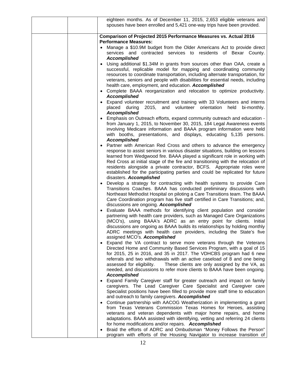| eighteen months. As of December 11, 2015, 2,653 eligible veterans and<br>spouses have been enrolled and 5,421 one-way trips have been provided.                                                                                                                                                                                                                                                                                                                                                               |
|---------------------------------------------------------------------------------------------------------------------------------------------------------------------------------------------------------------------------------------------------------------------------------------------------------------------------------------------------------------------------------------------------------------------------------------------------------------------------------------------------------------|
| Comparison of Projected 2015 Performance Measures vs. Actual 2016                                                                                                                                                                                                                                                                                                                                                                                                                                             |
| <b>Performance Measures:</b><br>Manage a \$10.9M budget from the Older Americans Act to provide direct<br>services and contracted services to residents of Bexar County.<br><b>Accomplished</b><br>• Using additional \$1.34M in grants from sources other than OAA, create a                                                                                                                                                                                                                                 |
| successful, replicable model for mapping and coordinating community<br>resources to coordinate transportation, including alternate transportation, for<br>veterans, seniors and people with disabilities for essential needs, including<br>health care, employment, and education. Accomplished<br>• Complete BAAA reorganization and relocation to optimize productivity.<br><b>Accomplished</b>                                                                                                             |
| • Expand volunteer recruitment and training with 33 Volunteers and interns<br>2015,<br>and<br>volunteer orientation<br>placed during<br>held<br>bi-monthly.<br><b>Accomplished</b>                                                                                                                                                                                                                                                                                                                            |
| • Emphasis on Outreach efforts, expand community outreach and education -<br>from January 1, 2015, to November 30, 2015, 184 Legal Awareness events<br>involving Medicare information and BAAA program information were held<br>with booths, presentations, and displays, educating 5,135 persons.<br><b>Accomplished</b>                                                                                                                                                                                     |
| • Partner with American Red Cross and others to advance the emergency<br>response to assist seniors in various disaster situations, building on lessons<br>learned from Wedgwood fire. BAAA played a significant role in working with<br>Red Cross at initial stage of the fire and transitioning with the relocation of<br>residents alongside a private contractor, BCFS. Appropriate roles were<br>established for the participating parties and could be replicated for future<br>disasters. Accomplished |
| Develop a strategy for contracting with health systems to provide Care<br>Transitions Coaches. BAAA has conducted preliminary discussions with<br>Northeast Methodist Hospital on piloting a Care Transitions team. The BAAA<br>Care Coordination program has five staff certified in Care Transitions; and,<br>discussions are ongoing. Accomplished                                                                                                                                                         |
| Evaluate BAAA methods for identifying client population and consider<br>partnering with health care providers, such as Managed Care Organizations<br>(MCO's), using BAAA's ADRC as an entry point for clients. Initial<br>discussions are ongoing as BAAA builds its relationships by holding monthly<br>ADRC meetings with health care providers, including the State's five<br>assigned MCO's. Accomplished                                                                                                 |
| Expand the VA contract to serve more veterans through the Veterans<br>Directed Home and Community Based Services Program, with a goal of 15<br>for 2015, 25 in 2016, and 35 in 2017. The VDHCBS program had 6 new<br>referrals and two withdrawals with an active caseload of 8 and one being<br>These clients are only assigned by the VA, as<br>assessed for eligibility.<br>needed, and discussions to refer more clients to BAAA have been ongoing.<br><b>Accomplished</b>                                |
| Expand Family Caregiver staff for greater outreach and impact on family<br>caregivers. The Lead Caregiver Care Specialist and Caregiver care<br>Specialist positions have been filled to provide more staff time to education<br>and outreach to family caregivers. Accomplished                                                                                                                                                                                                                              |
| • Continue partnership with AACOG Weatherization in implementing a grant<br>from Texas Veterans Commission Texas Homes for Heroes, assisting<br>veterans and veteran dependents with major home repairs, and home<br>adaptations. BAAA assisted with identifying, vetting and referring 24 clients<br>for home modifications and/or repairs. Accomplished                                                                                                                                                     |
| • Braid the efforts of ADRC and Ombudsman "Money Follows the Person"<br>program with efforts of the Housing Navigator to increase transition of                                                                                                                                                                                                                                                                                                                                                               |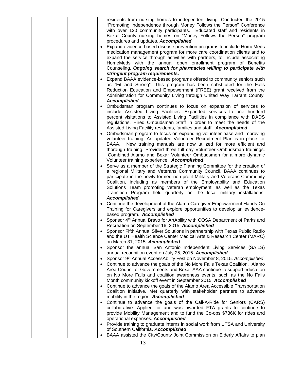|  |           | residents from nursing homes to independent living. Conducted the 2015                  |
|--|-----------|-----------------------------------------------------------------------------------------|
|  |           | "Promoting Independence through Money Follows the Person" Conference                    |
|  |           | with over 120 community participants. Educated staff and residents in                   |
|  |           |                                                                                         |
|  |           | Bexar County nursing homes on "Money Follows the Person" program                        |
|  |           | procedures and updates. Accomplished                                                    |
|  |           | • Expand evidence-based disease prevention programs to include HomeMeds                 |
|  |           | medication management program for more care coordination clients and to                 |
|  |           | expand the service through activities with partners, to include associating             |
|  |           | HomeMeds with the annual open enrollment program of Benefits                            |
|  |           | Counseling. Ongoing search for pharmacies willing to participate with                   |
|  |           | stringent program requirements.                                                         |
|  |           | Expand BAAA evidence-based programs offered to community seniors such                   |
|  |           |                                                                                         |
|  |           | as "Fit and Strong". This program has been substituted for the Falls                    |
|  |           | Reduction Education and Empowerment (FREE) grant received from the                      |
|  |           | Administration for Community Living through United Way Tarrant County.                  |
|  |           | <b>Accomplished</b>                                                                     |
|  |           | • Ombudsman program continues to focus on expansion of services to                      |
|  |           | include Assisted Living Facilities. Expanded services to one hundred                    |
|  |           | percent visitations to Assisted Living Facilities in compliance with DADS               |
|  |           | regulations. Hired Ombudsman Staff in order to meet the needs of the                    |
|  |           | Assisted Living Facility residents, families and staff. Accomplished                    |
|  |           | • Ombudsman program to focus on expanding volunteer base and improving                  |
|  |           | volunteer training. An updated Volunteer Recruitment Plan is in place for               |
|  |           |                                                                                         |
|  |           | New training manuals are now utilized for more efficient and<br>BAAA.                   |
|  |           | thorough training. Provided three full day Volunteer Ombudsman trainings.               |
|  |           | Combined Alamo and Bexar Volunteer Ombudsmen for a more dynamic                         |
|  |           | Volunteer training experience. Accomplished                                             |
|  |           | • Serve as a member of the Strategic Planning Committee for the creation of             |
|  |           | a regional Military and Veterans Community Council. BAAA continues to                   |
|  |           | participate in the newly-formed non-profit Military and Veterans Community              |
|  |           | Coalition, including as members of the Employability and Education                      |
|  |           | Solutions Team promoting veteran employment, as well as the Texas                       |
|  |           | Transition Program held quarterly on the local military installations.                  |
|  |           | <b>Accomplished</b>                                                                     |
|  |           |                                                                                         |
|  |           | • Continue the development of the Alamo Caregiver Empowerment Hands-On                  |
|  |           | Training for Caregivers and explore opportunities to develop an evidence-               |
|  |           | based program. Accomplished                                                             |
|  |           | • Sponsor 4 <sup>th</sup> Annual Bravo for ArtAbility with COSA Department of Parks and |
|  |           | Recreation on September 16, 2015. Accomplished                                          |
|  |           | Sponsor Fifth Annual Silver Solutions in partnership with Texas Public Radio            |
|  |           | and the UT Health Science Center Medical Arts & Research Center (MARC)                  |
|  |           | on March 31, 2015. Accomplished                                                         |
|  | $\bullet$ | Sponsor the annual San Antonio Independent Living Services (SAILS)                      |
|  |           | annual recognition event on July 25, 2015. Accomplished                                 |
|  |           |                                                                                         |
|  |           | Sponsor 9 <sup>th</sup> Annual AccessAbility Fest on November 8, 2015. Accomplished     |
|  |           | Continue to advance the goals of the No More Falls Texas Coalition. Alamo               |
|  |           | Area Council of Governments and Bexar AAA continue to support education                 |
|  |           | on No More Falls and coalition awareness events, such as the No Falls                   |
|  |           | Month community kickoff event in September 2015. Accomplished                           |
|  |           | Continue to advance the goals of the Alamo Area Accessible Transportation               |
|  |           | Coalition Initiative. Met quarterly with stakeholder partners to advance                |
|  |           | mobility in the region. Accomplished                                                    |
|  |           | Continue to advance the goals of the Call-A-Ride for Seniors (CARS)                     |
|  |           | collaborative. Applied for and was awarded FTA grants to continue to                    |
|  |           | provide Mobility Management and to fund the Co-ops \$786K for rides and                 |
|  |           |                                                                                         |
|  |           | operational expenses. Accomplished                                                      |
|  |           | • Provide training to graduate interns in social work from UTSA and University          |
|  |           | of Southern California. Accomplished                                                    |
|  |           | BAAA assisted the City/County Joint Commission on Elderly Affairs to plan               |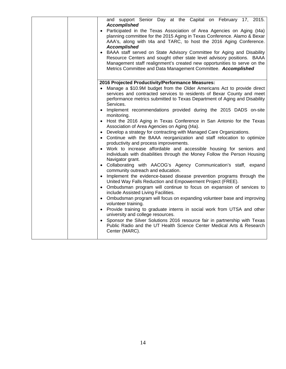|  | and support Senior Day at the Capital on February 17, 2015.<br><b>Accomplished</b>                                                                 |
|--|----------------------------------------------------------------------------------------------------------------------------------------------------|
|  | • Participated in the Texas Association of Area Agencies on Aging (t4a)                                                                            |
|  | planning committee for the 2015 Aging in Texas Conference. Alamo & Bexar                                                                           |
|  | AAA's, along with t4a and TARC, to host the 2016 Aging Conference.                                                                                 |
|  | <b>Accomplished</b>                                                                                                                                |
|  | • BAAA staff served on State Advisory Committee for Aging and Disability<br>Resource Centers and sought other state level advisory positions. BAAA |
|  | Management staff realignment's created new opportunities to serve on the                                                                           |
|  | Metrics Committee and Data Management Committee. Accomplished                                                                                      |
|  |                                                                                                                                                    |
|  | 2016 Projected Productivity/Performance Measures:                                                                                                  |
|  | • Manage a \$10.9M budget from the Older Americans Act to provide direct                                                                           |
|  | services and contracted services to residents of Bexar County and meet                                                                             |
|  | performance metrics submitted to Texas Department of Aging and Disability<br>Services.                                                             |
|  | • Implement recommendations provided during the 2015 DADS on-site                                                                                  |
|  | monitoring.<br>• Host the 2016 Aging in Texas Conference in San Antonio for the Texas                                                              |
|  | Association of Area Agencies on Aging (t4a).                                                                                                       |
|  | • Develop a strategy for contracting with Managed Care Organizations.                                                                              |
|  | • Continue with the BAAA reorganization and staff relocation to optimize                                                                           |
|  | productivity and process improvements.                                                                                                             |
|  | • Work to increase affordable and accessible housing for seniors and                                                                               |
|  | individuals with disabilities through the Money Follow the Person Housing                                                                          |
|  | Navigator grant.                                                                                                                                   |
|  | • Collaborating with AACOG's Agency Communication's staff, expand<br>community outreach and education.                                             |
|  | Implement the evidence-based disease prevention programs through the                                                                               |
|  | United Way Falls Reduction and Empowerment Project (FREE).                                                                                         |
|  | • Ombudsman program will continue to focus on expansion of services to                                                                             |
|  | include Assisted Living Facilities.                                                                                                                |
|  | • Ombudsman program will focus on expanding volunteer base and improving                                                                           |
|  | volunteer training.                                                                                                                                |
|  | • Provide training to graduate interns in social work from UTSA and other<br>university and college resources.                                     |
|  | • Sponsor the Silver Solutions 2016 resource fair in partnership with Texas                                                                        |
|  | Public Radio and the UT Health Science Center Medical Arts & Research                                                                              |
|  | Center (MARC).                                                                                                                                     |
|  |                                                                                                                                                    |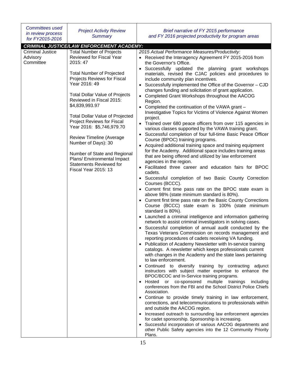| <b>CRIMINAL JUSTICE/LAW ENFORCEMENT ACADEMY:</b><br><b>Total Number of Projects</b><br><b>Criminal Justice</b><br>2015 Actual Performance Measures/Productivity:<br>Reviewed for Fiscal Year<br>Advisory<br>• Received the Interagency Agreement FY 2015-2016 from<br>Committee<br>2015: 47<br>the Governor's Office.<br>Successfully updated the planning grant workshops<br><b>Total Number of Projected</b><br>materials, revised the CJAC policies and procedures to<br>Projects Reviews for Fiscal<br>include community plan incentives.<br>Year 2016: 49<br>Successfully implemented the Office of the Governor - CJD<br>changes funding and solicitation of grant application.<br><b>Total Dollar Value of Projects</b><br>Completed Grant Workshops throughout the AACOG<br>Reviewed in Fiscal 2015:<br>Region.<br>\$4,839,993.97<br>Completed the continuation of the VAWA grant -<br>Investigative Topics for Victims of Violence Against Women<br><b>Total Dollar Value of Projected</b><br>project.<br><b>Project Reviews for Fiscal</b><br>Trained over 680 peace officers from over 115 agencies in<br>Year 2016: \$5,746,979.70<br>various classes supported by the VAWA training grant.<br>Successful completion of four full-time Basic Peace Officer<br><b>Review Timeline (Average</b><br>Course (BPOC) training programs.<br>Number of Days): 30<br>Acquired additional training space and training equipment<br>for the Academy. Additional space includes training areas<br>Number of State and Regional<br>that are being offered and utilized by law enforcement<br>Plans/ Environmental Impact<br>agencies in the region.<br><b>Statements Reviewed for</b><br>Facilitated three career and education fairs for BPOC<br><b>Fiscal Year 2015: 13</b><br>cadets.<br>• Successful completion of two Basic County Correction<br>Courses (BCCC).<br>Current first time pass rate on the BPOC state exam is<br>$\bullet$<br>above 98% (state minimum standard is 80%).<br>• Current first time pass rate on the Basic County Corrections<br>Course (BCCC) state exam is 100% (state minimum<br>standard is 80%).<br>Launched a criminal intelligence and information gathering<br>network to assist criminal investigators in solving cases.<br>• Successful completion of annual audit conducted by the<br>Texas Veterans Commission on records management and<br>reporting procedures of cadets receiving VA funding.<br>Publication of Academy Newsletter with In-service training<br>$\bullet$<br>catalogs. A newsletter which keeps professionals current<br>with changes in the Academy and the state laws pertaining<br>to law enforcement.<br>Continued to diversify training by contracting adjunct<br>instructors with subject matter expertise to enhance the<br>BPOC/BCOC and In-Service training programs.<br>multiple trainings<br>Hosted or co-sponsored<br>including<br>conferences from the FBI and the School District Police Chiefs<br>Association.<br>Continue to provide timely training in law enforcement,<br>$\bullet$<br>corrections, and telecommunications to professionals within<br>and outside the AACOG region.<br>Increased outreach to surrounding law enforcement agencies<br>for cadet sponsorship. Sponsorship is increasing. | <b>Committees used</b><br>in review process<br>for FY2015-2016 | <b>Project Activity Review</b><br><b>Summary</b> | Brief narrative of FY 2015 performance<br>and FY 2016 projected productivity for program areas |
|--------------------------------------------------------------------------------------------------------------------------------------------------------------------------------------------------------------------------------------------------------------------------------------------------------------------------------------------------------------------------------------------------------------------------------------------------------------------------------------------------------------------------------------------------------------------------------------------------------------------------------------------------------------------------------------------------------------------------------------------------------------------------------------------------------------------------------------------------------------------------------------------------------------------------------------------------------------------------------------------------------------------------------------------------------------------------------------------------------------------------------------------------------------------------------------------------------------------------------------------------------------------------------------------------------------------------------------------------------------------------------------------------------------------------------------------------------------------------------------------------------------------------------------------------------------------------------------------------------------------------------------------------------------------------------------------------------------------------------------------------------------------------------------------------------------------------------------------------------------------------------------------------------------------------------------------------------------------------------------------------------------------------------------------------------------------------------------------------------------------------------------------------------------------------------------------------------------------------------------------------------------------------------------------------------------------------------------------------------------------------------------------------------------------------------------------------------------------------------------------------------------------------------------------------------------------------------------------------------------------------------------------------------------------------------------------------------------------------------------------------------------------------------------------------------------------------------------------------------------------------------------------------------------------------------------------------------------------------------------------------------------------------------------------------------------------------------------------------------------------------------------------------------------------------------------------------------------------------------------------------------------------------------------|----------------------------------------------------------------|--------------------------------------------------|------------------------------------------------------------------------------------------------|
|                                                                                                                                                                                                                                                                                                                                                                                                                                                                                                                                                                                                                                                                                                                                                                                                                                                                                                                                                                                                                                                                                                                                                                                                                                                                                                                                                                                                                                                                                                                                                                                                                                                                                                                                                                                                                                                                                                                                                                                                                                                                                                                                                                                                                                                                                                                                                                                                                                                                                                                                                                                                                                                                                                                                                                                                                                                                                                                                                                                                                                                                                                                                                                                                                                                                                      |                                                                |                                                  |                                                                                                |
| other Public Safety agencies into the 12 Community Priority<br>Plans.                                                                                                                                                                                                                                                                                                                                                                                                                                                                                                                                                                                                                                                                                                                                                                                                                                                                                                                                                                                                                                                                                                                                                                                                                                                                                                                                                                                                                                                                                                                                                                                                                                                                                                                                                                                                                                                                                                                                                                                                                                                                                                                                                                                                                                                                                                                                                                                                                                                                                                                                                                                                                                                                                                                                                                                                                                                                                                                                                                                                                                                                                                                                                                                                                |                                                                |                                                  | Successful incorporation of various AACOG departments and                                      |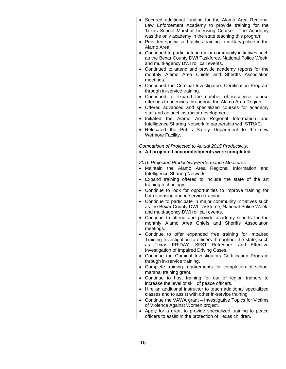| • Secured additional funding for the Alamo Area Regional<br>Law Enforcement Academy to provide training for the<br>Texas School Marshal Licensing Course. The Academy<br>was the only academy in the state teaching this program.<br>Provided specialized tactics training to military police in the<br>Alamo Area.<br>Continued to participate in major community initiatives such<br>as the Bexar County DWI Taskforce, National Police Week,<br>and multi-agency DWI roll call events.<br>Continued to attend and provide academy reports for the<br>monthly Alamo Area Chiefs and Sheriffs Association<br>meetings.<br>• Continued the Criminal Investigators Certification Program<br>through in-service training.<br>• Continued to expand the number of in-service course<br>offerings to agencies throughout the Alamo Area Region.<br>• Offered advanced and specialized courses for academy<br>staff and adjunct instructor development.<br>Initiated the Alamo Area Regional Information and<br>Intelligence Sharing Network in partnership with STRAC.<br>Relocated the Public Safety Department to the new<br>Wetmore Facility. |
|----------------------------------------------------------------------------------------------------------------------------------------------------------------------------------------------------------------------------------------------------------------------------------------------------------------------------------------------------------------------------------------------------------------------------------------------------------------------------------------------------------------------------------------------------------------------------------------------------------------------------------------------------------------------------------------------------------------------------------------------------------------------------------------------------------------------------------------------------------------------------------------------------------------------------------------------------------------------------------------------------------------------------------------------------------------------------------------------------------------------------------------------|
| Comparison of Projected to Actual 2015 Productivity:<br>• All projected accomplishments were completed.                                                                                                                                                                                                                                                                                                                                                                                                                                                                                                                                                                                                                                                                                                                                                                                                                                                                                                                                                                                                                                      |
| 2016 Projected Productivity/Performance Measures:<br>Maintain the Alamo Area Regional Information and<br>$\bullet$<br>Intelligence Sharing Network.<br>• Expand training offered to include the state of the art<br>training technology.<br>• Continue to look for opportunities to improve training for<br>both licensing and in-service training.<br>Continue to participate in major community initiatives such<br>$\bullet$<br>as the Bexar County DWI Taskforce, National Police Week,<br>and multi-agency DWI roll call events.<br>Continue to attend and provide academy reports for the<br>monthly Alamo Area Chiefs and Sheriffs Association<br>meetings.<br>Continue to offer expanded free training for Impaired<br>Training Investigation to officers throughout the state, such                                                                                                                                                                                                                                                                                                                                                 |
| as Texas FRIDAY, SFST Refresher, and Effective<br>Investigation of Impaired Driving Cases.<br>• Continue the Criminal Investigators Certification Program<br>through in-service training.<br>• Complete training requirements for completion of school<br>marshal training grant.                                                                                                                                                                                                                                                                                                                                                                                                                                                                                                                                                                                                                                                                                                                                                                                                                                                            |
| • Continue to host training for out of region trainers to<br>increase the level of skill of peace officers.<br>• Hire an additional instructor to teach additional specialized<br>classes and to assist with other in-service training.<br>• Continue the VAWA grant - Investigative Topics for Victims<br>of Violence Against Women project.<br>• Apply for a grant to provide specialized training to peace<br>officers to assist in the protection of Texas children.                                                                                                                                                                                                                                                                                                                                                                                                                                                                                                                                                                                                                                                                     |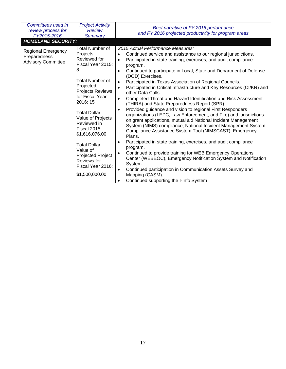| Committees used in<br>review process for<br>FY2015-2016<br><b>HOMELAND SECURITY:</b> | <b>Project Activity</b><br><b>Review</b><br><b>Summary</b>                                                                                                                                                                                                                                                                                                                               | Brief narrative of FY 2015 performance<br>and FY 2016 projected productivity for program areas                                                                                                                                                                                                                                                                                                                                                                                                                                                                                                                                                                                                                                                                                                                                                                                                                                                                                                                                                                                                                                                                                                                                                                                                                           |
|--------------------------------------------------------------------------------------|------------------------------------------------------------------------------------------------------------------------------------------------------------------------------------------------------------------------------------------------------------------------------------------------------------------------------------------------------------------------------------------|--------------------------------------------------------------------------------------------------------------------------------------------------------------------------------------------------------------------------------------------------------------------------------------------------------------------------------------------------------------------------------------------------------------------------------------------------------------------------------------------------------------------------------------------------------------------------------------------------------------------------------------------------------------------------------------------------------------------------------------------------------------------------------------------------------------------------------------------------------------------------------------------------------------------------------------------------------------------------------------------------------------------------------------------------------------------------------------------------------------------------------------------------------------------------------------------------------------------------------------------------------------------------------------------------------------------------|
| <b>Regional Emergency</b><br>Preparedness<br><b>Advisory Committee</b>               | <b>Total Number of</b><br>Projects<br>Reviewed for<br>Fiscal Year 2015:<br>8<br><b>Total Number of</b><br>Projected<br>Projects Reviews<br>for Fiscal Year<br>2016: 15<br><b>Total Dollar</b><br>Value of Projects<br>Reviewed in<br><b>Fiscal 2015:</b><br>\$1,616,076.00<br><b>Total Dollar</b><br>Value of<br>Projected Project<br>Reviews for<br>Fiscal Year 2016:<br>\$1,500,000.00 | 2015 Actual Performance Measures:<br>Continued service and assistance to our regional jurisdictions.<br>Participated in state training, exercises, and audit compliance<br>$\bullet$<br>program.<br>Continued to participate in Local, State and Department of Defense<br>$\bullet$<br>(DOD) Exercises.<br>Participated in Texas Association of Regional Councils.<br>Participated in Critical Infrastructure and Key Resources (CI/KR) and<br>$\bullet$<br>other Data Calls.<br>Completed Threat and Hazard Identification and Risk Assessment<br>$\bullet$<br>(THIRA) and State Preparedness Report (SPR)<br>Provided guidance and vision to regional First Responders<br>organizations (LEPC, Law Enforcement, and Fire) and jurisdictions<br>on grant applications, mutual aid National Incident Management<br>System (NIMS) compliance, National Incident Management System<br>Compliance Assistance System Tool (NIMSCAST), Emergency<br>Plans.<br>Participated in state training, exercises, and audit compliance<br>program.<br>Continued to provide training for WEB Emergency Operations<br>Center (WEBEOC), Emergency Notification System and Notification<br>System.<br>Continued participation in Communication Assets Survey and<br>$\bullet$<br>Mapping (CASM).<br>Continued supporting the I-Info System |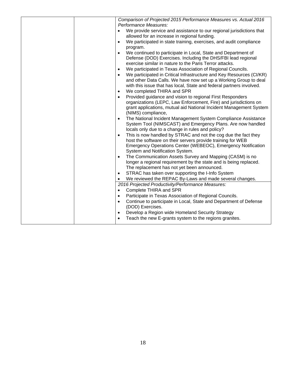| Comparison of Projected 2015 Performance Measures vs. Actual 2016<br>Performance Measures:                                                                                                                                             |
|----------------------------------------------------------------------------------------------------------------------------------------------------------------------------------------------------------------------------------------|
| We provide service and assistance to our regional jurisdictions that                                                                                                                                                                   |
| allowed for an increase in regional funding.                                                                                                                                                                                           |
| We participated in state training, exercises, and audit compliance<br>$\bullet$                                                                                                                                                        |
| program.                                                                                                                                                                                                                               |
| We continued to participate in Local, State and Department of<br>$\bullet$<br>Defense (DOD) Exercises. Including the DHS/FBI lead regional<br>exercise similar in nature to the Paris Terror attacks.                                  |
| We participated in Texas Association of Regional Councils.<br>$\bullet$                                                                                                                                                                |
| We participated in Critical Infrastructure and Key Resources (CI/KR)<br>$\bullet$<br>and other Data Calls. We have now set up a Working Group to deal                                                                                  |
| with this issue that has local, State and federal partners involved.                                                                                                                                                                   |
| We completed THIRA and SPR<br>$\bullet$                                                                                                                                                                                                |
| Provided guidance and vision to regional First Responders<br>$\bullet$<br>organizations (LEPC, Law Enforcement, Fire) and jurisdictions on<br>grant applications, mutual aid National Incident Management System<br>(NIMS) compliance, |
| The National Incident Management System Compliance Assistance<br>$\bullet$<br>System Tool (NIMSCAST) and Emergency Plans. Are now handled<br>locals only due to a change in rules and policy?                                          |
| This is now handled by STRAC and not the cog due the fact they<br>host the software on their servers provide training for WEB<br>Emergency Operations Center (WEBEOC), Emergency Notification<br>System and Notification System.       |
| The Communication Assets Survey and Mapping (CASM) is no<br>longer a regional requirement by the state and is being replaced.                                                                                                          |
| The replacement has not yet been announced.                                                                                                                                                                                            |
| STRAC has taken over supporting the I-Info System<br>$\bullet$                                                                                                                                                                         |
| We reviewed the REPAC By-Laws and made several changes.                                                                                                                                                                                |
| 2016 Projected Productivity/Performance Measures:                                                                                                                                                                                      |
| Complete THIRA and SPR<br>$\bullet$                                                                                                                                                                                                    |
| Participate in Texas Association of Regional Councils.<br>$\bullet$                                                                                                                                                                    |
| Continue to participate in Local, State and Department of Defense<br>$\bullet$<br>(DOD) Exercises.                                                                                                                                     |
| Develop a Region wide Homeland Security Strategy                                                                                                                                                                                       |
| Teach the new E-grants system to the regions granites.                                                                                                                                                                                 |
|                                                                                                                                                                                                                                        |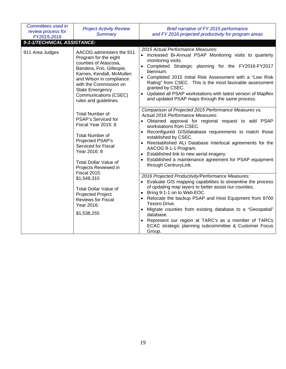| Committees used in<br>review process for<br>FY2015-2016 | <b>Project Activity Review</b><br><b>Summary</b>                                                                                                                                                                                                                        | Brief narrative of FY 2015 performance<br>and FY 2016 projected productivity for program areas                                                                                                                                                                                                                                                                                                                                                                                                |
|---------------------------------------------------------|-------------------------------------------------------------------------------------------------------------------------------------------------------------------------------------------------------------------------------------------------------------------------|-----------------------------------------------------------------------------------------------------------------------------------------------------------------------------------------------------------------------------------------------------------------------------------------------------------------------------------------------------------------------------------------------------------------------------------------------------------------------------------------------|
| 9-1-1/TECHNICAL ASSISTANCE:                             |                                                                                                                                                                                                                                                                         |                                                                                                                                                                                                                                                                                                                                                                                                                                                                                               |
| 911 Area Judges                                         | AACOG administers the 911<br>Program for the eight<br>counties of Atascosa,<br>Bandera, Frio, Gillespie,<br>Karnes, Kendall, McMullen<br>and Wilson in compliance<br>with the Commission on<br><b>State Emergency</b><br>Communications (CSEC)<br>rules and guidelines. | 2015 Actual Performance Measures:<br>• Increased Bi-Annual PSAP Monitoring visits to quarterly<br>monitoring visits.<br>• Completed Strategic planning for the FY2016-FY2017<br>biennium.<br>• Completed 2015 Initial Risk Assessment with a "Low Risk<br>Rating" from CSEC. This is the most favorable assessment<br>granted by CSEC.<br>Updated all PSAP workstations with latest version of Mapflex<br>and updated PSAP maps through the same process.                                     |
|                                                         | <b>Total Number of</b><br>PSAP's Serviced for<br>Fiscal Year 2015: 8<br><b>Total Number of</b><br>Projected PSAP's<br><b>Serviced for Fiscal</b><br>Year 2016: 8<br><b>Total Dollar Value of</b><br>Projects Reviewed in<br><b>Fiscal 2015:</b>                         | Comparison of Projected 2015 Performance Measures vs.<br>Actual 2016 Performance Measures:<br>• Obtained approval for regional request to add PSAP<br>workstations from CSEC.<br>Reconfigured GIS/database requirements to match those<br>established by CSEC.<br>Reestablished ALI Database Interlocal agreements for the<br>AACOG 9-1-1 Program.<br>Established link to new aerial imagery.<br>$\bullet$<br>Established a maintenance agreement for PSAP equipment<br>through CentruryLink. |
|                                                         | \$1,548,310<br><b>Total Dollar Value of</b><br>Projected Project<br>Reviews for Fiscal<br>Year 2016:<br>\$1,538,255                                                                                                                                                     | 2016 Projected Productivity/Performance Measures:<br>• Evaluate GIS mapping capabilities to streamline the process<br>of updating map layers to better assist our counties.<br>Bring 9-1-1 on to Web EOC.<br>Relocate the backup PSAP and Host Equipment from 8700<br>Tesoro Drive.<br>• Migrate counties from existing database to a "Geospatial"<br>database.<br>Represent our region at TARC's as a member of TARCs<br>ECAC strategic planning subcommittee & Customer Focus<br>Group.     |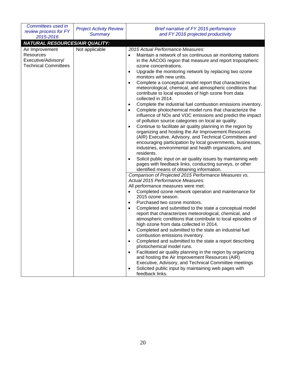| Committees used in<br>review process for FY<br>2015-2016                           | <b>Project Activity Review</b><br><b>Summary</b> | Brief narrative of FY 2015 performance<br>and FY 2016 projected productivity                                                                                                                                                                                                                                                                                                                                                                                                                                                                                                                                                                                                                                                                                                                                                                                                                                                                                                                                                                                                                                                                                                                                                                                                                                                                                                                                                                                                                                                                                                                                                                                                         |
|------------------------------------------------------------------------------------|--------------------------------------------------|--------------------------------------------------------------------------------------------------------------------------------------------------------------------------------------------------------------------------------------------------------------------------------------------------------------------------------------------------------------------------------------------------------------------------------------------------------------------------------------------------------------------------------------------------------------------------------------------------------------------------------------------------------------------------------------------------------------------------------------------------------------------------------------------------------------------------------------------------------------------------------------------------------------------------------------------------------------------------------------------------------------------------------------------------------------------------------------------------------------------------------------------------------------------------------------------------------------------------------------------------------------------------------------------------------------------------------------------------------------------------------------------------------------------------------------------------------------------------------------------------------------------------------------------------------------------------------------------------------------------------------------------------------------------------------------|
| <b>NATURAL RESOURCES/AIR QUALITY:</b>                                              |                                                  |                                                                                                                                                                                                                                                                                                                                                                                                                                                                                                                                                                                                                                                                                                                                                                                                                                                                                                                                                                                                                                                                                                                                                                                                                                                                                                                                                                                                                                                                                                                                                                                                                                                                                      |
| Air Improvement<br>Resources<br>Executive/Advisory/<br><b>Technical Committees</b> | Not applicable                                   | 2015 Actual Performance Measures:<br>Maintain a network of six continuous air monitoring stations<br>$\bullet$<br>in the AACOG region that measure and report tropospheric<br>ozone concentrations.<br>Upgrade the monitoring network by replacing two ozone<br>monitors with new units.<br>Complete a conceptual model report that characterizes<br>$\bullet$<br>meteorological, chemical, and atmospheric conditions that<br>contribute to local episodes of high ozone from data<br>collected in 2014.<br>Complete the industrial fuel combustion emissions inventory.<br>$\bullet$<br>Complete photochemical model runs that characterize the<br>influence of NOx and VOC emissions and predict the impact<br>of pollution source categories on local air quality.<br>Continue to facilitate air quality planning in the region by<br>organizing and hosting the Air Improvement Resources<br>(AIR) Executive, Advisory, and Technical Committees and<br>encouraging participation by local governments, businesses,<br>industries, environmental and health organizations, and<br>residents.<br>Solicit public input on air quality issues by maintaining web<br>$\bullet$<br>pages with feedback links, conducting surveys, or other<br>identified means of obtaining information.<br>Comparison of Projected 2015 Performance Measures vs.<br>Actual 2015 Performance Measures:<br>All performance measures were met:<br>Completed ozone network operation and maintenance for<br>2015 ozone season.<br>Purchased two ozone monitors.<br>$\bullet$<br>Completed and submitted to the state a conceptual model<br>0<br>report that characterizes meteorological, chemical, and |
|                                                                                    |                                                  | atmospheric conditions that contribute to local episodes of<br>high ozone from data collected in 2014.<br>Completed and submitted to the state an industrial fuel<br>combustion emissions inventory.<br>Completed and submitted to the state a report describing<br>$\bullet$<br>photochemical model runs.<br>Facilitated air quality planning in the region by organizing<br>$\bullet$<br>and hosting the Air Improvement Resources (AIR)<br>Executive, Advisory, and Technical Committee meetings<br>Solicited public input by maintaining web pages with<br>feedback links.                                                                                                                                                                                                                                                                                                                                                                                                                                                                                                                                                                                                                                                                                                                                                                                                                                                                                                                                                                                                                                                                                                       |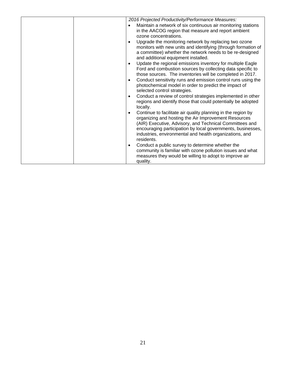|  | 2016 Projected Productivity/Performance Measures:<br>Maintain a network of six continuous air monitoring stations<br>٠<br>in the AACOG region that measure and report ambient<br>ozone concentrations.<br>Upgrade the monitoring network by replacing two ozone<br>monitors with new units and identifying (through formation of<br>a committee) whether the network needs to be re-designed<br>and additional equipment installed.<br>Update the regional emissions inventory for multiple Eagle<br>Ford and combustion sources by collecting data specific to<br>those sources. The inventories will be completed in 2017.<br>Conduct sensitivity runs and emission control runs using the<br>$\bullet$<br>photochemical model in order to predict the impact of<br>selected control strategies.<br>Conduct a review of control strategies implemented in other<br>$\bullet$<br>regions and identify those that could potentially be adopted<br>locally.<br>Continue to facilitate air quality planning in the region by<br>$\bullet$<br>organizing and hosting the Air Improvement Resources<br>(AIR) Executive, Advisory, and Technical Committees and<br>encouraging participation by local governments, businesses,<br>industries, environmental and health organizations, and<br>residents.<br>Conduct a public survey to determine whether the<br>$\bullet$ |
|--|---------------------------------------------------------------------------------------------------------------------------------------------------------------------------------------------------------------------------------------------------------------------------------------------------------------------------------------------------------------------------------------------------------------------------------------------------------------------------------------------------------------------------------------------------------------------------------------------------------------------------------------------------------------------------------------------------------------------------------------------------------------------------------------------------------------------------------------------------------------------------------------------------------------------------------------------------------------------------------------------------------------------------------------------------------------------------------------------------------------------------------------------------------------------------------------------------------------------------------------------------------------------------------------------------------------------------------------------------------------------|
|  | community is familiar with ozone pollution issues and what<br>measures they would be willing to adopt to improve air<br>quality.                                                                                                                                                                                                                                                                                                                                                                                                                                                                                                                                                                                                                                                                                                                                                                                                                                                                                                                                                                                                                                                                                                                                                                                                                                    |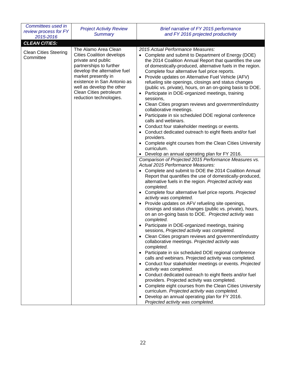| Committees used in<br>review process for FY<br>2015-2016 | <b>Project Activity Review</b><br><b>Summary</b>                                                                                                                                                                                                                                  | Brief narrative of FY 2015 performance<br>and FY 2016 projected productivity                                                                                                                                                                                                                                                                                                                                                                                                                                                                                                                                                                                                                                                                                                                                                                                                                                                                                                                                                                                                                                                                                                                                                                                                                                        |
|----------------------------------------------------------|-----------------------------------------------------------------------------------------------------------------------------------------------------------------------------------------------------------------------------------------------------------------------------------|---------------------------------------------------------------------------------------------------------------------------------------------------------------------------------------------------------------------------------------------------------------------------------------------------------------------------------------------------------------------------------------------------------------------------------------------------------------------------------------------------------------------------------------------------------------------------------------------------------------------------------------------------------------------------------------------------------------------------------------------------------------------------------------------------------------------------------------------------------------------------------------------------------------------------------------------------------------------------------------------------------------------------------------------------------------------------------------------------------------------------------------------------------------------------------------------------------------------------------------------------------------------------------------------------------------------|
| <b>CLEAN CITIES:</b>                                     |                                                                                                                                                                                                                                                                                   |                                                                                                                                                                                                                                                                                                                                                                                                                                                                                                                                                                                                                                                                                                                                                                                                                                                                                                                                                                                                                                                                                                                                                                                                                                                                                                                     |
| <b>Clean Cities Steering</b><br>Committee                | The Alamo Area Clean<br><b>Cities Coalition develops</b><br>private and public<br>partnerships to further<br>develop the alternative fuel<br>market presently in<br>existence in San Antonio as<br>well as develop the other<br>Clean Cities petroleum<br>reduction technologies. | 2015 Actual Performance Measures:<br>• Complete and submit to Department of Energy (DOE)<br>the 2014 Coalition Annual Report that quantifies the use<br>of domestically-produced, alternative fuels in the region.<br>Complete four alternative fuel price reports.<br>Provide updates on Alternative Fuel Vehicle (AFV)<br>$\bullet$<br>refueling site openings, closings and status changes<br>(public vs. private), hours, on an on-going basis to DOE.<br>Participate in DOE-organized meetings, training<br>sessions,<br>Clean Cities program reviews and government/industry<br>collaborative meetings.<br>Participate in six scheduled DOE regional conference<br>calls and webinars.<br>Conduct four stakeholder meetings or events.<br>Conduct dedicated outreach to eight fleets and/or fuel<br>providers.<br>Complete eight courses from the Clean Cities University<br>curriculum.<br>Develop an annual operating plan for FY 2016.                                                                                                                                                                                                                                                                                                                                                                     |
|                                                          |                                                                                                                                                                                                                                                                                   | Comparison of Projected 2015 Performance Measures vs.<br>Actual 2015 Performance Measures:<br>Complete and submit to DOE the 2014 Coalition Annual<br>Report that quantifies the use of domestically-produced,<br>alternative fuels in the region. Projected activity was<br>completed.<br>Complete four alternative fuel price reports. Projected<br>activity was completed.<br>Provide updates on AFV refueling site openings,<br>closings and status changes (public vs. private), hours,<br>on an on-going basis to DOE. Projected activity was<br>completed.<br>Participate in DOE-organized meetings, training<br>sessions, Projected activity was completed.<br>• Clean Cities program reviews and government/industry<br>collaborative meetings. Projected activity was<br>completed.<br>Participate in six scheduled DOE regional conference<br>calls and webinars. Projected activity was completed.<br>• Conduct four stakeholder meetings or events. Projected<br>activity was completed.<br>Conduct dedicated outreach to eight fleets and/or fuel<br>providers. Projected activity was completed.<br>Complete eight courses from the Clean Cities University<br>curriculum. Projected activity was completed.<br>• Develop an annual operating plan for FY 2016.<br>Projected activity was completed. |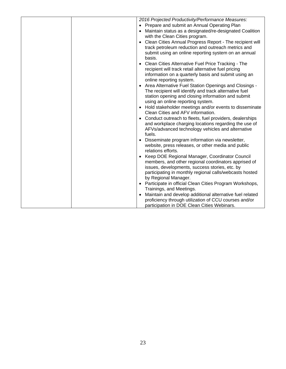| 2016 Projected Productivity/Performance Measures:                                                    |
|------------------------------------------------------------------------------------------------------|
| Prepare and submit an Annual Operating Plan                                                          |
| Maintain status as a designated/re-designated Coalition                                              |
| with the Clean Cities program.                                                                       |
| Clean Cities Annual Progress Report - The recipient will                                             |
| track petroleum reduction and outreach metrics and                                                   |
| submit using an online reporting system on an annual                                                 |
| basis.                                                                                               |
| Clean Cities Alternative Fuel Price Tracking - The                                                   |
| recipient will track retail alternative fuel pricing                                                 |
| information on a quarterly basis and submit using an                                                 |
| online reporting system.                                                                             |
| Area Alternative Fuel Station Openings and Closings -                                                |
| The recipient will identify and track alternative fuel                                               |
| station opening and closing information and submit                                                   |
| using an online reporting system.                                                                    |
| Hold stakeholder meetings and/or events to disseminate<br>$\bullet$                                  |
| Clean Cities and AFV information.                                                                    |
| Conduct outreach to fleets, fuel providers, dealerships                                              |
| and workplace charging locations regarding the use of                                                |
| AFVs/advanced technology vehicles and alternative                                                    |
| fuels.                                                                                               |
| Disseminate program information via newsletter,                                                      |
| website, press releases, or other media and public                                                   |
| relations efforts.                                                                                   |
| Keep DOE Regional Manager, Coordinator Council                                                       |
| members, and other regional coordinators apprised of                                                 |
| issues, developments, success stories, etc. by                                                       |
| participating in monthly regional calls/webcasts hosted                                              |
| by Regional Manager.                                                                                 |
| Participate in official Clean Cities Program Workshops,<br>Trainings, and Meetings.                  |
|                                                                                                      |
| Maintain and develop additional alternative fuel related                                             |
| proficiency through utilization of CCU courses and/or<br>participation in DOE Clean Cities Webinars. |
|                                                                                                      |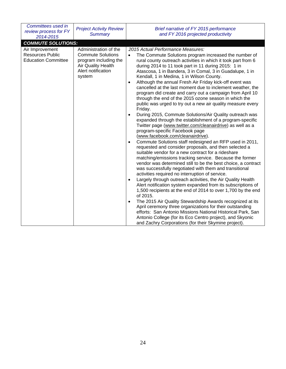| Committees used in<br>review process for FY<br>2014-2015<br><b>COMMUTE SOLUTIONS:</b> | <b>Project Activity Review</b><br><b>Summary</b>                                                                                        | Brief narrative of FY 2015 performance<br>and FY 2016 projected productivity                                                                                                                                                                                                                                                                                                                                                                                                                                                                                                                                                                                                                                                                                                                                                                                                                                                                                                                                                                                                                                                                                                                                                                                                                                                                                                                                                                                                                                                                                                                                                                                                                                                                                                                                                                                                                                                             |
|---------------------------------------------------------------------------------------|-----------------------------------------------------------------------------------------------------------------------------------------|------------------------------------------------------------------------------------------------------------------------------------------------------------------------------------------------------------------------------------------------------------------------------------------------------------------------------------------------------------------------------------------------------------------------------------------------------------------------------------------------------------------------------------------------------------------------------------------------------------------------------------------------------------------------------------------------------------------------------------------------------------------------------------------------------------------------------------------------------------------------------------------------------------------------------------------------------------------------------------------------------------------------------------------------------------------------------------------------------------------------------------------------------------------------------------------------------------------------------------------------------------------------------------------------------------------------------------------------------------------------------------------------------------------------------------------------------------------------------------------------------------------------------------------------------------------------------------------------------------------------------------------------------------------------------------------------------------------------------------------------------------------------------------------------------------------------------------------------------------------------------------------------------------------------------------------|
| Air Improvement<br><b>Resources Public</b><br><b>Education Committee</b>              | Administration of the<br><b>Commute Solutions</b><br>program including the<br><b>Air Quality Health</b><br>Alert notification<br>system | 2015 Actual Performance Measures:<br>The Commute Solutions program increased the number of<br>$\bullet$<br>rural county outreach activities in which it took part from 6<br>during 2014 to 11 took part in 11 during 2015: 1 in<br>Atascosa, 1 in Bandera, 3 in Comal, 3 in Guadalupe, 1 in<br>Kendall, 1 in Medina, 1 in Wilson County.<br>Although the annual Fresh Air Friday kick-off event was<br>$\bullet$<br>cancelled at the last moment due to inclement weather, the<br>program did create and carry out a campaign from April 10<br>through the end of the 2015 ozone season in which the<br>public was urged to try out a new air quality measure every<br>Friday.<br>During 2015, Commute Solutions/Air Quality outreach was<br>$\bullet$<br>expanded through the establishment of a program-specific<br>Twitter page (www.twitter.com/cleanairdrive) as well as a<br>program-specific Facebook page<br>(www.facebook.com/cleanairdrive).<br>Commute Solutions staff redesigned an RFP used in 2011,<br>$\bullet$<br>requested and consider proposals, and then selected a<br>suitable vendor for a new contract for a rideshare<br>matching/emissions tracking service. Because the former<br>vendor was determined still to be the best choice, a contract<br>was successfully negotiated with them and transitional<br>activities required no interruption of service.<br>Largely through outreach activities, the Air Quality Health<br>$\bullet$<br>Alert notification system expanded from its subscriptions of<br>1,500 recipients at the end of 2014 to over 1,700 by the end<br>of 2015.<br>The 2015 Air Quality Stewardship Awards recognized at its<br>$\bullet$<br>April ceremony three organizations for their outstanding<br>efforts: San Antonio Missions National Historical Park, San<br>Antonio College (for its Eco Centro project), and Skyonic<br>and Zachry Corporations (for their Skymine project). |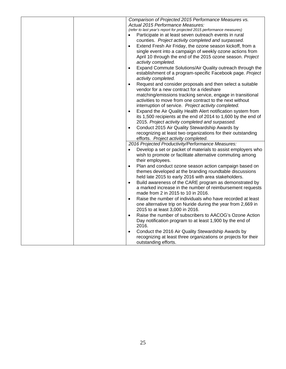| Comparison of Projected 2015 Performance Measures vs.                     |
|---------------------------------------------------------------------------|
| Actual 2015 Performance Measures:                                         |
| (refer to last year's report for projected 2015 performance measures)     |
| Participate in at least seven outreach events in rural                    |
| counties. Project activity completed and surpassed.                       |
| Extend Fresh Air Friday, the ozone season kickoff, from a                 |
| single event into a campaign of weekly ozone actions from                 |
| April 10 through the end of the 2015 ozone season. Project                |
| activity completed.                                                       |
| Expand Commute Solutions/Air Quality outreach through the<br>$\bullet$    |
| establishment of a program-specific Facebook page. Project                |
| activity completed.                                                       |
| Request and consider proposals and then select a suitable<br>$\bullet$    |
| vendor for a new contract for a rideshare                                 |
| matching/emissions tracking service, engage in transitional               |
| activities to move from one contract to the next without                  |
| interruption of service. Project activity completed.                      |
| Expand the Air Quality Health Alert notification system from<br>$\bullet$ |
| its 1,500 recipients at the end of 2014 to 1,600 by the end of            |
| 2015. Project activity completed and surpassed.                           |
| Conduct 2015 Air Quality Stewardship Awards by<br>$\bullet$               |
|                                                                           |
| recognizing at least two organizations for their outstanding              |
| efforts. Project activity completed.                                      |
| 2016 Projected Productivity/Performance Measures:                         |
| Develop a set or packet of materials to assist employers who              |
| wish to promote or facilitate alternative commuting among                 |
| their employees.                                                          |
| Plan and conduct ozone season action campaign based on<br>$\bullet$       |
| themes developed at the branding roundtable discussions                   |
| held late 2015 to early 2016 with area stakeholders.                      |
| Build awareness of the CARE program as demonstrated by<br>$\bullet$       |
| a marked increase in the number of reimbursement requests                 |
| made from 2 in 2015 to 10 in 2016.                                        |
| Raise the number of individuals who have recorded at least                |
| one alternative trip on Nuride during the year from 2,669 in              |
| 2015 to at least 3,000 in 2016.                                           |
| Raise the number of subscribers to AACOG's Ozone Action<br>$\bullet$      |
| Day notification program to at least 1,900 by the end of                  |
| 2016.                                                                     |
| Conduct the 2016 Air Quality Stewardship Awards by<br>$\bullet$           |
|                                                                           |
| recognizing at least three organizations or projects for their            |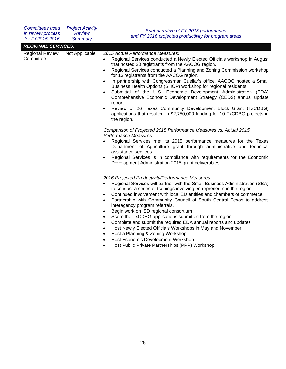| <b>Committees used</b><br>in review process<br>for FY2015-2016 | <b>Project Activity</b><br><b>Review</b><br><b>Summary</b>                                                                                                                                                                                                                                                                                                                                                                | Brief narrative of FY 2015 performance<br>and FY 2016 projected productivity for program areas                                                                                                                                                                                                                                                                                                                                                                                                                                                                                                                                                                                                                                                                                                                                                                                                        |
|----------------------------------------------------------------|---------------------------------------------------------------------------------------------------------------------------------------------------------------------------------------------------------------------------------------------------------------------------------------------------------------------------------------------------------------------------------------------------------------------------|-------------------------------------------------------------------------------------------------------------------------------------------------------------------------------------------------------------------------------------------------------------------------------------------------------------------------------------------------------------------------------------------------------------------------------------------------------------------------------------------------------------------------------------------------------------------------------------------------------------------------------------------------------------------------------------------------------------------------------------------------------------------------------------------------------------------------------------------------------------------------------------------------------|
| <b>REGIONAL SERVICES:</b>                                      |                                                                                                                                                                                                                                                                                                                                                                                                                           |                                                                                                                                                                                                                                                                                                                                                                                                                                                                                                                                                                                                                                                                                                                                                                                                                                                                                                       |
| <b>Regional Review</b><br>Committee                            | Not Applicable                                                                                                                                                                                                                                                                                                                                                                                                            | 2015 Actual Performance Measures:<br>Regional Services conducted a Newly Elected Officials workshop in August<br>$\bullet$<br>that hosted 20 registrants from the AACOG region.<br>Regional Services conducted a Planning and Zoning Commission workshop<br>$\bullet$<br>for 13 registrants from the AACOG region.<br>In partnership with Congressman Cuellar's office, AACOG hosted a Small<br>$\bullet$<br>Business Health Options (SHOP) workshop for regional residents.<br>Submittal of the U.S. Economic Development Administration (EDA)<br>$\bullet$<br>Comprehensive Economic Development Strategy (CEDS) annual update<br>report.<br>Review of 26 Texas Community Development Block Grant (TxCDBG)<br>$\bullet$<br>applications that resulted in \$2,750,000 funding for 10 TxCDBG projects in<br>the region.                                                                               |
|                                                                | Comparison of Projected 2015 Performance Measures vs. Actual 2015<br>Performance Measures:<br>Regional Services met its 2015 performance measures for the Texas<br>$\bullet$<br>Department of Agriculture grant through administrative and technical<br>assistance services.<br>Regional Services is in compliance with requirements for the Economic<br>$\bullet$<br>Development Administration 2015 grant deliverables. |                                                                                                                                                                                                                                                                                                                                                                                                                                                                                                                                                                                                                                                                                                                                                                                                                                                                                                       |
|                                                                |                                                                                                                                                                                                                                                                                                                                                                                                                           | 2016 Projected Productivity/Performance Measures:<br>Regional Services will partner with the Small Business Administration (SBA)<br>$\bullet$<br>to conduct a series of trainings involving entrepreneurs in the region.<br>Continued involvement with local ED entities and chambers of commerce.<br>$\bullet$<br>Partnership with Community Council of South Central Texas to address<br>$\bullet$<br>interagency program referrals.<br>Begin work on ISD regional consortium<br>$\bullet$<br>Score the TxCDBG applications submitted from the region.<br>$\bullet$<br>Complete and submit the required EDA annual reports and updates<br>$\bullet$<br>Host Newly Elected Officials Workshops in May and November<br>$\bullet$<br>Host a Planning & Zoning Workshop<br>$\bullet$<br>Host Economic Development Workshop<br>$\bullet$<br>Host Public Private Partnerships (PPP) Workshop<br>$\bullet$ |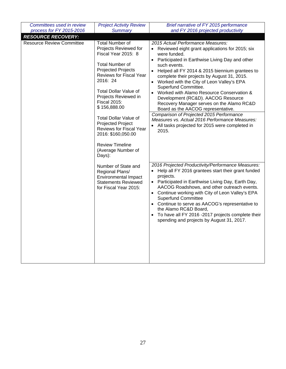| Committees used in review        | <b>Project Activity Review</b>                                                                                                                                                                                                                                                                                                                                            | Brief narrative of FY 2015 performance                                                                                                                                                                                                                                                                                                                                                                                                                                                                                                                                                                                                                                                         |
|----------------------------------|---------------------------------------------------------------------------------------------------------------------------------------------------------------------------------------------------------------------------------------------------------------------------------------------------------------------------------------------------------------------------|------------------------------------------------------------------------------------------------------------------------------------------------------------------------------------------------------------------------------------------------------------------------------------------------------------------------------------------------------------------------------------------------------------------------------------------------------------------------------------------------------------------------------------------------------------------------------------------------------------------------------------------------------------------------------------------------|
| process for FY 2015-2016         | <b>Summary</b>                                                                                                                                                                                                                                                                                                                                                            | and FY 2016 projected productivity                                                                                                                                                                                                                                                                                                                                                                                                                                                                                                                                                                                                                                                             |
| <b>RESOURCE RECOVERY:</b>        |                                                                                                                                                                                                                                                                                                                                                                           |                                                                                                                                                                                                                                                                                                                                                                                                                                                                                                                                                                                                                                                                                                |
| <b>Resource Review Committee</b> | <b>Total Number of</b><br>Projects Reviewed for<br>Fiscal Year 2015: 8<br><b>Total Number of</b><br><b>Projected Projects</b><br>Reviews for Fiscal Year<br>2016: 24<br>Total Dollar Value of<br>Projects Reviewed in<br><b>Fiscal 2015:</b><br>\$156,888.00<br><b>Total Dollar Value of</b><br><b>Projected Project</b><br>Reviews for Fiscal Year<br>2016: \$160,050.00 | 2015 Actual Performance Measures:<br>• Reviewed eight grant applications for 2015; six<br>were funded.<br>• Participated in Earthwise Living Day and other<br>such events.<br>Helped all FY 2014 & 2015 biennium grantees to<br>$\bullet$<br>complete their projects by August 31, 2015.<br>• Worked with the City of Leon Valley's EPA<br>Superfund Committee.<br>Worked with Alamo Resource Conservation &<br>Development (RC&D). AACOG Resource<br>Recovery Manager serves on the Alamo RC&D<br>Board as the AACOG representative.<br>Comparison of Projected 2015 Performance<br>Measures vs. Actual 2016 Performance Measures:<br>All tasks projected for 2015 were completed in<br>2015. |
|                                  | <b>Review Timeline</b><br>(Average Number of<br>Days):                                                                                                                                                                                                                                                                                                                    |                                                                                                                                                                                                                                                                                                                                                                                                                                                                                                                                                                                                                                                                                                |
|                                  | Number of State and<br>Regional Plans/<br><b>Environmental Impact</b><br><b>Statements Reviewed</b><br>for Fiscal Year 2015:                                                                                                                                                                                                                                              | 2016 Projected Productivity/Performance Measures:<br>Help all FY 2016 grantees start their grant funded<br>$\bullet$<br>projects.<br>• Participated in Earthwise Living Day, Earth Day,<br>AACOG Roadshows, and other outreach events.<br>Continue working with City of Leon Valley's EPA<br><b>Superfund Committee</b><br>• Continue to serve as AACOG's representative to<br>the Alamo RC&D Board,<br>To have all FY 2016 -2017 projects complete their<br>spending and projects by August 31, 2017.                                                                                                                                                                                         |
|                                  |                                                                                                                                                                                                                                                                                                                                                                           |                                                                                                                                                                                                                                                                                                                                                                                                                                                                                                                                                                                                                                                                                                |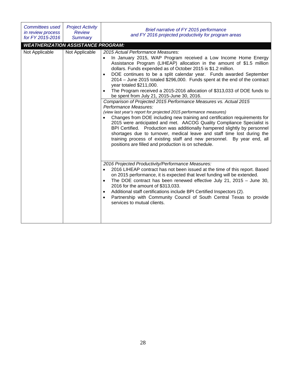| <b>Committees used</b><br>in review process<br>for FY 2015-2016 | <b>Project Activity</b><br><b>Review</b><br>Summary | Brief narrative of FY 2015 performance<br>and FY 2016 projected productivity for program areas                                                                                                                                                                                                                                                                                                                                                                                                                                                                                                                                                                                                                                                                                                                                                                                                                                                                                                                                                                                                                                                                           |
|-----------------------------------------------------------------|-----------------------------------------------------|--------------------------------------------------------------------------------------------------------------------------------------------------------------------------------------------------------------------------------------------------------------------------------------------------------------------------------------------------------------------------------------------------------------------------------------------------------------------------------------------------------------------------------------------------------------------------------------------------------------------------------------------------------------------------------------------------------------------------------------------------------------------------------------------------------------------------------------------------------------------------------------------------------------------------------------------------------------------------------------------------------------------------------------------------------------------------------------------------------------------------------------------------------------------------|
| <b>WEATHERIZATION ASSISTANCE PROGRAM:</b><br>Not Applicable     | Not Applicable                                      | 2015 Actual Performance Measures:<br>In January 2015, WAP Program received a Low Income Home Energy<br>Assistance Program (LIHEAP) allocation in the amount of \$1.5 million<br>dollars. Funds expended as of October 2015 is \$1.2 million.<br>DOE continues to be a split calendar year. Funds awarded September<br>2014 - June 2015 totaled \$296,000. Funds spent at the end of the contract<br>year totaled \$211,000.<br>The Program received a 2015-2016 allocation of \$313,033 of DOE funds to<br>be spent from July 21, 2015-June 30, 2016.<br>Comparison of Projected 2015 Performance Measures vs. Actual 2015<br>Performance Measures:<br>(view last year's report for projected 2015 performance measures)<br>Changes from DOE including new training and certification requirements for<br>2015 were anticipated and met. AACOG Quality Compliance Specialist is<br>BPI Certified. Production was additionally hampered slightly by personnel<br>shortages due to turnover, medical leave and staff time lost during the<br>training process of existing staff and new personnel. By year end, all<br>positions are filled and production is on schedule. |
|                                                                 |                                                     | 2016 Projected Productivity/Performance Measures:<br>2016 LIHEAP contract has not been issued at the time of this report. Based<br>$\bullet$<br>on 2015 performance, it is expected that level funding will be extended.<br>The DOE contract has been renewed effective July 21, 2015 - June 30,<br>$\bullet$<br>2016 for the amount of \$313,033.<br>Additional staff certifications include BPI Certified Inspectors (2).<br>Partnership with Community Council of South Central Texas to provide<br>services to mutual clients.                                                                                                                                                                                                                                                                                                                                                                                                                                                                                                                                                                                                                                       |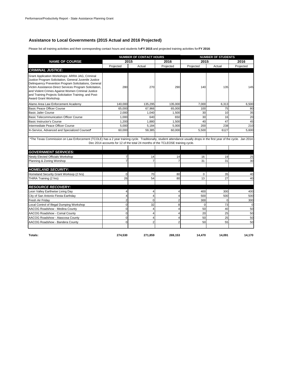#### **Assistance to Local Governments (2015 Actual and 2016 Projected)**

Please list all training activities and their corresponding contact hours and students for **FY 2015** and projected training activities for **FY 2016**:

|                                                                                                                                                                                                                                                                                                                                                                       | <b>NUMBER OF CONTACT HOURS</b> |                |                | <b>NUMBER OF STUDENTS</b> |          |           |
|-----------------------------------------------------------------------------------------------------------------------------------------------------------------------------------------------------------------------------------------------------------------------------------------------------------------------------------------------------------------------|--------------------------------|----------------|----------------|---------------------------|----------|-----------|
| <b>NAME OF COURSE</b>                                                                                                                                                                                                                                                                                                                                                 |                                | 2015           | 2016           | 2015                      |          | 2016      |
|                                                                                                                                                                                                                                                                                                                                                                       | Projected                      | Actual         | Projected      | Projected                 | Actual   | Projected |
| <b>CRIMINAL JUSTICE:</b>                                                                                                                                                                                                                                                                                                                                              |                                |                |                |                           |          |           |
| Grant Application Workshops: ARRA JAG, Criminal<br>Justice Program Solicitation, General Juvenile Justice<br>Delinquency Prevention Program Solicitations, General<br>Victim Assistance-Direct Services Program Solicitation,<br>and Violent Crimes Against Women Criminal Justice<br>and Training Projects Solicitation Training; and Post-<br>Award Grant Workshop. | 280                            | 270            | 290            | 140                       | 135      | 145       |
| Alamo Area Law Enforcement Academy                                                                                                                                                                                                                                                                                                                                    | 140,000                        | 135,295        | 135,000        | 7,000                     | 6,313    | 6,500     |
| <b>Basic Peace Officer Course</b>                                                                                                                                                                                                                                                                                                                                     | 65,000                         | 67,966         | 65,000         | 100                       | 75       | 80        |
| <b>Basic Jailer Course</b>                                                                                                                                                                                                                                                                                                                                            | 2.000                          | 1.040          | 1,500          | 30                        | 10       | 35        |
| <b>Basic Telecommunication Officer Course</b>                                                                                                                                                                                                                                                                                                                         | 1,000                          | 640            | 650            | 30                        | 16       | 20        |
| Basic Instructor's Course                                                                                                                                                                                                                                                                                                                                             | 1,200                          | 1,880          | 1,500          | 40                        | 47       | 45        |
| Intermediate Peace Officer Course                                                                                                                                                                                                                                                                                                                                     | 5,000                          | 5,184          | 5,000          | 200                       | 238      | 210       |
| In-Service, Advanced and Specialized Courses*                                                                                                                                                                                                                                                                                                                         | 60,000                         | 59,385         | 60,000         | 5,500                     | 6127     | 5,600     |
| <b>GOVERNMENT SERVICES:</b>                                                                                                                                                                                                                                                                                                                                           |                                |                |                |                           |          |           |
| Newly Elected Officials Workshop                                                                                                                                                                                                                                                                                                                                      | $\overline{7}$                 | 14             | 14             | 16                        | 19       | 25        |
| Planning & Zoning Worshop                                                                                                                                                                                                                                                                                                                                             | $\overline{7}$                 | $\overline{7}$ | $\overline{7}$ | 31                        | 31       | 30        |
| <b>HOMELAND SECURITY:</b>                                                                                                                                                                                                                                                                                                                                             |                                |                |                |                           |          |           |
| Homeland Security Grant Worksop (2 hrs)                                                                                                                                                                                                                                                                                                                               | $\mathbf 0$                    | 70             | 80             | $\mathbf 0$               | 35       | 40        |
| THIRA Training (2 hrs)                                                                                                                                                                                                                                                                                                                                                | 26                             | 54             | 80             | 13                        | 27       | 40        |
| <b>RESOURCE RECOVERY:</b>                                                                                                                                                                                                                                                                                                                                             |                                |                |                |                           |          |           |
| Leon Valley Earthwise Living Day                                                                                                                                                                                                                                                                                                                                      | 4                              |                | Δ              | 400                       | 300      | 400       |
| City of San Antonio Fiesta Earthday                                                                                                                                                                                                                                                                                                                                   | 4                              | 4              | 4              | 500                       | 500      | 500       |
| Fresh Air Friday                                                                                                                                                                                                                                                                                                                                                      | $\overline{2}$                 | $\Omega$       | 2              | 300                       | $\Omega$ | 300       |
| Local Control of Illegal Dumping Workshop                                                                                                                                                                                                                                                                                                                             | 0                              | 32             | 8              | $\mathbf 0$               | 73       |           |
| AACOG Roadshow - Medina County                                                                                                                                                                                                                                                                                                                                        | 0                              | 4              | $\overline{4}$ | 50                        | 40       | 50        |
| AACOG Roadshow - Comal County                                                                                                                                                                                                                                                                                                                                         | $\mathbf 0$                    | 4              | 4              | 20                        | 25       | 50        |
| AACOG Roadshow - Atascosa County                                                                                                                                                                                                                                                                                                                                      | $\Omega$                       | 4              | 4              | 50                        | 25       | 50        |
| AACOG Roadshow - Bandera County                                                                                                                                                                                                                                                                                                                                       | $\Omega$                       |                |                | 50                        | 55       | 50        |
| Totals:                                                                                                                                                                                                                                                                                                                                                               | 274.530                        | 271.859        | 269,153        | 14.470                    | 14.091   | 14.170    |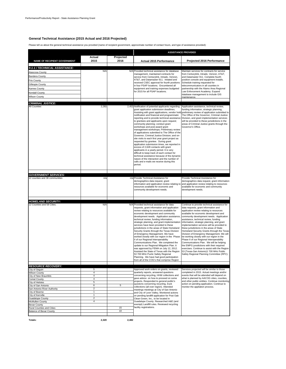#### **General Technical Assistance (2015 Actual and 2016 Projected)**

Please tell us about the general technical assistance you provided (name of recipient government, approximate number of contact hours, and type of assistance provided):

|                                                         |                     | <b>ASSISTANCE PROVIDED</b> |                                                                                                                                                                                                                                                                                                                                                                                                                                                                                                                                                                                                                                                                                                                                                                                                                                                                                                      |                                                                                                                                                                                                                                                                                                                                                                                                                                                                                                                                                                                                                                                                                                                                                                                                                                |  |
|---------------------------------------------------------|---------------------|----------------------------|------------------------------------------------------------------------------------------------------------------------------------------------------------------------------------------------------------------------------------------------------------------------------------------------------------------------------------------------------------------------------------------------------------------------------------------------------------------------------------------------------------------------------------------------------------------------------------------------------------------------------------------------------------------------------------------------------------------------------------------------------------------------------------------------------------------------------------------------------------------------------------------------------|--------------------------------------------------------------------------------------------------------------------------------------------------------------------------------------------------------------------------------------------------------------------------------------------------------------------------------------------------------------------------------------------------------------------------------------------------------------------------------------------------------------------------------------------------------------------------------------------------------------------------------------------------------------------------------------------------------------------------------------------------------------------------------------------------------------------------------|--|
|                                                         | Actual              | Projected                  |                                                                                                                                                                                                                                                                                                                                                                                                                                                                                                                                                                                                                                                                                                                                                                                                                                                                                                      |                                                                                                                                                                                                                                                                                                                                                                                                                                                                                                                                                                                                                                                                                                                                                                                                                                |  |
| NAME OF RECIPIENT GOVERNMENT                            | 2015                | 2016                       | <b>Actual 2015 Performance</b>                                                                                                                                                                                                                                                                                                                                                                                                                                                                                                                                                                                                                                                                                                                                                                                                                                                                       | Projected 2016 Performance                                                                                                                                                                                                                                                                                                                                                                                                                                                                                                                                                                                                                                                                                                                                                                                                     |  |
|                                                         |                     |                            |                                                                                                                                                                                                                                                                                                                                                                                                                                                                                                                                                                                                                                                                                                                                                                                                                                                                                                      |                                                                                                                                                                                                                                                                                                                                                                                                                                                                                                                                                                                                                                                                                                                                                                                                                                |  |
| 9-1-1 / TECHNICAL ASSISTANCE:<br>Atascosa County        | N/A                 |                            | N/A Provided technical assistance for database                                                                                                                                                                                                                                                                                                                                                                                                                                                                                                                                                                                                                                                                                                                                                                                                                                                       | Maintain services for contracts for service                                                                                                                                                                                                                                                                                                                                                                                                                                                                                                                                                                                                                                                                                                                                                                                    |  |
| <b>Bandera County</b>                                   |                     |                            | management, maintained contracts for                                                                                                                                                                                                                                                                                                                                                                                                                                                                                                                                                                                                                                                                                                                                                                                                                                                                 | from Centurylink, Intrado, Verizon, AT&T,                                                                                                                                                                                                                                                                                                                                                                                                                                                                                                                                                                                                                                                                                                                                                                                      |  |
| Frio County                                             |                     |                            | service from Centurylink, Intrado, Verizon,<br>AT&T, and Datamaster 911. Initated and                                                                                                                                                                                                                                                                                                                                                                                                                                                                                                                                                                                                                                                                                                                                                                                                                | and Datamaster 911. Complete fourth<br>position console and equipment installs.                                                                                                                                                                                                                                                                                                                                                                                                                                                                                                                                                                                                                                                                                                                                                |  |
| Gillespie County                                        |                     |                            | received CSEC approval for fourth positions                                                                                                                                                                                                                                                                                                                                                                                                                                                                                                                                                                                                                                                                                                                                                                                                                                                          | Schedule training requested for                                                                                                                                                                                                                                                                                                                                                                                                                                                                                                                                                                                                                                                                                                                                                                                                |  |
| <b>Karnes County</b>                                    |                     |                            | in four PSAP locations. Encumbered all<br>equipment and training expenses budgeted                                                                                                                                                                                                                                                                                                                                                                                                                                                                                                                                                                                                                                                                                                                                                                                                                   | telecommunicators in all counties in<br>partnership with the Alamo Area Regional                                                                                                                                                                                                                                                                                                                                                                                                                                                                                                                                                                                                                                                                                                                                               |  |
| Kendall County                                          |                     |                            | for 2015 for all PSAP locations.                                                                                                                                                                                                                                                                                                                                                                                                                                                                                                                                                                                                                                                                                                                                                                                                                                                                     | Law Enforcement Academy. Expand                                                                                                                                                                                                                                                                                                                                                                                                                                                                                                                                                                                                                                                                                                                                                                                                |  |
| Wilson County                                           |                     |                            |                                                                                                                                                                                                                                                                                                                                                                                                                                                                                                                                                                                                                                                                                                                                                                                                                                                                                                      | database management to include GIS<br>maintenance                                                                                                                                                                                                                                                                                                                                                                                                                                                                                                                                                                                                                                                                                                                                                                              |  |
| <b>CRIMINAL JUSTICE:</b>                                |                     |                            |                                                                                                                                                                                                                                                                                                                                                                                                                                                                                                                                                                                                                                                                                                                                                                                                                                                                                                      |                                                                                                                                                                                                                                                                                                                                                                                                                                                                                                                                                                                                                                                                                                                                                                                                                                |  |
| <b>All Counties</b>                                     | 2,282               |                            | 2,452 Notification of potential applicants regarding                                                                                                                                                                                                                                                                                                                                                                                                                                                                                                                                                                                                                                                                                                                                                                                                                                                 | Application assistance, technical review,                                                                                                                                                                                                                                                                                                                                                                                                                                                                                                                                                                                                                                                                                                                                                                                      |  |
|                                                         |                     |                            | grant application submission deadlines;<br>Assisting with grant applications, vendor hold<br>notification and financial and programmatic<br>reporting and to provide technical assistance<br>to grantees and applicants upon request;<br>community planning; conduct grant<br>workshops and post-award grant<br>management workshops; Preliminary review<br>of applications submitted to The Office of the<br>Governor, Criminal Justice Division; and on-<br>site visits to each first year grant project as<br>requested by grantee. During grant<br>application submission times, we reported in<br>excess of 2,628 contacts with grant<br>applicants in a yearly period. It is very<br>difficult to keep track of each contact for<br>technical assistance because of the dynamic<br>nature of the interaction and the number of<br>calls and e-mails we receive during this<br>period.          | funding information, strategic planning,<br>preliminary review of application submitted to<br>The Office of the Governor, Criminal Justice<br>Division, and grant implementation services<br>will be provided to these jurisdictions in the<br>areas of Criminal Justice grants through the<br>Governor's Office.                                                                                                                                                                                                                                                                                                                                                                                                                                                                                                              |  |
| <b>GOVERNMENT SERVICES:</b>                             |                     |                            |                                                                                                                                                                                                                                                                                                                                                                                                                                                                                                                                                                                                                                                                                                                                                                                                                                                                                                      |                                                                                                                                                                                                                                                                                                                                                                                                                                                                                                                                                                                                                                                                                                                                                                                                                                |  |
| 12 counties and 38 communities                          | n/a                 |                            | n/a Provide Technical Assistance for<br>demographics data request, grant<br>information and application review relating to<br>resources available for economic and<br>community development needs.                                                                                                                                                                                                                                                                                                                                                                                                                                                                                                                                                                                                                                                                                                   | Provide Technical Assistance for<br>demographics data request, grant information<br>and application review relating to resources<br>available for economic and community<br>development needs.                                                                                                                                                                                                                                                                                                                                                                                                                                                                                                                                                                                                                                 |  |
| <b>HOMELAND SECURITY:</b>                               |                     |                            |                                                                                                                                                                                                                                                                                                                                                                                                                                                                                                                                                                                                                                                                                                                                                                                                                                                                                                      |                                                                                                                                                                                                                                                                                                                                                                                                                                                                                                                                                                                                                                                                                                                                                                                                                                |  |
| 12 Counties and 58 Cities.<br><b>RESOURCE RECOVERY:</b> | N/A                 |                            | N/A Provided technical assistance for data<br>requests, grant information and application<br>review relating to resources available for<br>economic development and community<br>development needs. Application assistance,<br>technical review, funding information,<br>strategic planning, and grant implementation<br>services have been provided to these<br>jurisdictions in the areas of State Homeland<br>Security Grants through the Texas Division<br>of Emergency Management. We have<br>worked closely with our region in the Phase<br>Il of our Regional Interoperability<br>Communications Plan. We completed the<br>update to our Regional Mitigation Plan. It<br>was approved by FEMA on July 12, 2012.<br>Assisted the State of Texas with the Region<br>53 700 MHz Puclic Safety Regional<br>Planning. We have had good participation<br>from all of the COG's that comprise Region | Continue to provide technical assistance for<br>data requests, grant information and<br>application review relating to resources<br>available for economic development and<br>community development needs. Application<br>assistance, technical review, funding<br>information, strategic planning, and grant<br>implementation services will be provided to<br>these jurisdictions in the areas of State<br>Homeland Security Grants through the Texas<br>Division of Emergency Management. We will<br>be working closely with our region in the<br>Phase II of our Regional Interoperability<br>Communications Plan. We will be helping<br>the EMPG jursdictions with their required<br>exercises. Continue to assist with the Region<br>53 (Texas-San Antonio)1 700 MHz Public<br>Safety Regional Planning Committee (RPC). |  |
| City of Seguin                                          | 5                   |                            | Approved work orders on grants, reviewed                                                                                                                                                                                                                                                                                                                                                                                                                                                                                                                                                                                                                                                                                                                                                                                                                                                             | Services projected will be similar to those                                                                                                                                                                                                                                                                                                                                                                                                                                                                                                                                                                                                                                                                                                                                                                                    |  |
| <b>Wilson County</b>                                    | $\overline{4}$      |                            | quarterly reports, answered questions<br>concerning recycling, HHW collections and                                                                                                                                                                                                                                                                                                                                                                                                                                                                                                                                                                                                                                                                                                                                                                                                                   | completed in 2015. Actual meetings and/or<br>events that will be attended will depend on                                                                                                                                                                                                                                                                                                                                                                                                                                                                                                                                                                                                                                                                                                                                       |  |
| City of New Braunfels<br>Comal County                   | 4<br>$\overline{4}$ |                            | gave advice on how to proceed on some                                                                                                                                                                                                                                                                                                                                                                                                                                                                                                                                                                                                                                                                                                                                                                                                                                                                | what is planned by AACOG cities, counties,                                                                                                                                                                                                                                                                                                                                                                                                                                                                                                                                                                                                                                                                                                                                                                                     |  |
| City of Helotes                                         | 5                   |                            | projects. Responded to general public's                                                                                                                                                                                                                                                                                                                                                                                                                                                                                                                                                                                                                                                                                                                                                                                                                                                              | and other public entities. Continue monitoring                                                                                                                                                                                                                                                                                                                                                                                                                                                                                                                                                                                                                                                                                                                                                                                 |  |
| City of San Antonio                                     | 6                   | 5                          | questons concerning recycling, truck<br>collections (all over region). Attended                                                                                                                                                                                                                                                                                                                                                                                                                                                                                                                                                                                                                                                                                                                                                                                                                      | action on pending application. Continue to<br>monitor the appliation process.                                                                                                                                                                                                                                                                                                                                                                                                                                                                                                                                                                                                                                                                                                                                                  |  |
| San Antonio River Authority<br>City of Boerne           | $\overline{2}$<br>1 |                            | meetings meetings at City of San Antonio                                                                                                                                                                                                                                                                                                                                                                                                                                                                                                                                                                                                                                                                                                                                                                                                                                                             |                                                                                                                                                                                                                                                                                                                                                                                                                                                                                                                                                                                                                                                                                                                                                                                                                                |  |
| City of Kerrville                                       | 1                   |                            | and City of Leon Valley, Monitored actions<br>on pending landfill application for Post Oak                                                                                                                                                                                                                                                                                                                                                                                                                                                                                                                                                                                                                                                                                                                                                                                                           |                                                                                                                                                                                                                                                                                                                                                                                                                                                                                                                                                                                                                                                                                                                                                                                                                                |  |
| Guadalupe County                                        | $\overline{2}$      |                            | Clean Green, Inc., to be located in                                                                                                                                                                                                                                                                                                                                                                                                                                                                                                                                                                                                                                                                                                                                                                                                                                                                  |                                                                                                                                                                                                                                                                                                                                                                                                                                                                                                                                                                                                                                                                                                                                                                                                                                |  |
| McMullen County                                         | $\overline{4}$      |                            | Guadalupe County. Researched A&E (and<br>exempt) Landfill rules. Reviewed recycling                                                                                                                                                                                                                                                                                                                                                                                                                                                                                                                                                                                                                                                                                                                                                                                                                  |                                                                                                                                                                                                                                                                                                                                                                                                                                                                                                                                                                                                                                                                                                                                                                                                                                |  |
| Bexar County<br>Rural Counties and Cities               |                     | 15                         | facility registrations.                                                                                                                                                                                                                                                                                                                                                                                                                                                                                                                                                                                                                                                                                                                                                                                                                                                                              |                                                                                                                                                                                                                                                                                                                                                                                                                                                                                                                                                                                                                                                                                                                                                                                                                                |  |
| <b>Balance of Bexar County</b>                          |                     | 10                         |                                                                                                                                                                                                                                                                                                                                                                                                                                                                                                                                                                                                                                                                                                                                                                                                                                                                                                      |                                                                                                                                                                                                                                                                                                                                                                                                                                                                                                                                                                                                                                                                                                                                                                                                                                |  |
|                                                         |                     |                            |                                                                                                                                                                                                                                                                                                                                                                                                                                                                                                                                                                                                                                                                                                                                                                                                                                                                                                      |                                                                                                                                                                                                                                                                                                                                                                                                                                                                                                                                                                                                                                                                                                                                                                                                                                |  |

**Totals: 2,320 2,482**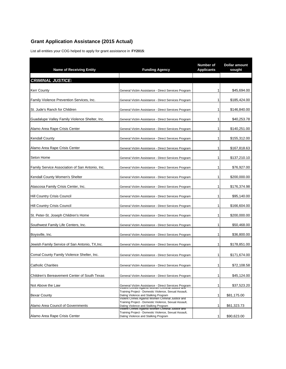## **Grant Application Assistance (2015 Actual)**

List all entities your COG helped to apply for grant assistance in **FY2015**:

| <b>Name of Receiving Entity</b>                 | <b>Funding Agency</b>                                                                                                                              | Number of<br><b>Applicants</b> | <b>Dollar amount</b><br>sought |  |
|-------------------------------------------------|----------------------------------------------------------------------------------------------------------------------------------------------------|--------------------------------|--------------------------------|--|
| <b>CRIMINAL JUSTICE:</b>                        |                                                                                                                                                    |                                |                                |  |
|                                                 |                                                                                                                                                    |                                |                                |  |
| <b>Kerr County</b>                              | General Victim Assistance - Direct Services Program                                                                                                | 1                              | \$45,694.00                    |  |
| Family Violence Prevention Services, Inc.       | General Victim Assistance - Direct Services Program                                                                                                | 1                              | \$185,424.00                   |  |
| St. Jude's Ranch for Children                   | General Victim Assistance - Direct Services Program                                                                                                | 1                              | \$146,840.00                   |  |
| Guadalupe Valley Family Violence Shelter, Inc.  | General Victim Assistance - Direct Services Program                                                                                                | 1                              | \$40,253.78                    |  |
| Alamo Area Rape Crisis Center                   | General Victim Assistance - Direct Services Program                                                                                                | 1                              | \$140,251.00                   |  |
| <b>Kendall County</b>                           | General Victim Assistance - Direct Services Program                                                                                                | 1                              | \$155,312.00                   |  |
| Alamo Area Rape Crisis Center                   | General Victim Assistance - Direct Services Program                                                                                                | 1                              | \$167,818.63                   |  |
| Seton Home                                      | General Victim Assistance - Direct Services Program                                                                                                | 1                              | \$137,210.10                   |  |
| Family Service Association of San Antonio, Inc. | General Victim Assistance - Direct Services Program                                                                                                | 1                              | \$76,927.00                    |  |
| Kendall County Women's Shelter                  | General Victim Assistance - Direct Services Program                                                                                                | 1                              | \$200,000.00                   |  |
| Atascosa Family Crisis Center, Inc.             | General Victim Assistance - Direct Services Program                                                                                                | 1                              | \$176,374.98                   |  |
| <b>Hill Country Crisis Council</b>              | General Victim Assistance - Direct Services Program                                                                                                | 1                              | \$95,140.00                    |  |
| Hill Country Crisis Council                     | General Victim Assistance - Direct Services Program                                                                                                | 1                              | \$166,604.00                   |  |
| St. Peter-St. Joseph Children's Home            | General Victim Assistance - Direct Services Program                                                                                                | 1                              | \$200,000.00                   |  |
| Southwest Family Life Centers, Inc.             | General Victim Assistance - Direct Services Program                                                                                                | 1                              | \$50,468.00                    |  |
| Boysville, Inc.                                 | General Victim Assistance - Direct Services Program                                                                                                | 1                              | \$36,800.00                    |  |
| Jewish Family Service of San Antonio, TX,Inc.   | General Victim Assistance - Direct Services Program                                                                                                | 1                              | \$178,851.00                   |  |
| Comal County Family Violence Shelter, Inc.      | General Victim Assistance - Direct Services Program                                                                                                | 1                              | \$171,674.00                   |  |
| <b>Catholic Charities</b>                       | General Victim Assistance - Direct Services Program                                                                                                | 1                              | \$72,108.58                    |  |
|                                                 |                                                                                                                                                    |                                |                                |  |
| Children's Bereavement Center of South Texas    | General Victim Assistance - Direct Services Program                                                                                                | 1                              | \$45.124.00                    |  |
| Not Above the Law                               | General Victim Assistance - Direct Services Program<br>עוסות היהודים השפחה לאומרים והיהודים המשפחה של היהודים היהודים                              | 1                              | \$37,523.20                    |  |
| <b>Bexar County</b>                             | Training Project - Domestic Violence, Sexual Assault,<br>Dating Violence and Stalking Program<br>Violent Crimes Against Women Criminal Justice and | 1                              | \$81,175.00                    |  |
| Alamo Area Council of Governments               | Training Project - Domestic Violence, Sexual Assault,<br>Dating Violence and Stalking Program<br>Violent Crimes Against Women Criminal Justice and | 1                              | \$61,323.73                    |  |
| Alamo Area Rape Crisis Center                   | Training Project - Domestic Violence, Sexual Assault,<br>Dating Violence and Stalking Program                                                      | 1                              | \$90,623.00                    |  |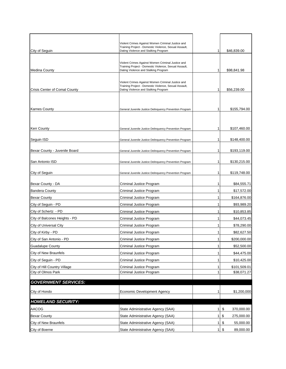|                                      | Violent Crimes Against Women Criminal Justice and                                                          |   |                  |
|--------------------------------------|------------------------------------------------------------------------------------------------------------|---|------------------|
| City of Seguin                       | Training Project - Domestic Violence, Sexual Assault,<br>Dating Violence and Stalking Program              | 1 | \$46,839.00      |
|                                      |                                                                                                            |   |                  |
|                                      | Violent Crimes Against Women Criminal Justice and<br>Training Project - Domestic Violence, Sexual Assault, |   |                  |
| <b>Medina County</b>                 | Dating Violence and Stalking Program                                                                       | 1 | \$98,841.98      |
|                                      |                                                                                                            |   |                  |
|                                      | Violent Crimes Against Women Criminal Justice and<br>Training Project - Domestic Violence, Sexual Assault, |   |                  |
| <b>Crisis Center of Comal County</b> | Dating Violence and Stalking Program                                                                       | 1 | \$56,239.00      |
|                                      |                                                                                                            |   |                  |
| <b>Karnes County</b>                 | General Juvenile Justice Delinquency Prevention Program                                                    | 1 | \$155,794.00     |
|                                      |                                                                                                            |   |                  |
|                                      |                                                                                                            |   |                  |
| <b>Kerr County</b>                   | General Juvenile Justice Delinquency Prevention Program                                                    | 1 | \$107,460.00     |
|                                      |                                                                                                            |   |                  |
| Seguin ISD                           | General Juvenile Justice Delinquency Prevention Program                                                    | 1 | \$148,400.00     |
| Bexar County - Juvenile Board        | General Juvenile Justice Delinquency Prevention Program                                                    | 1 | \$193,119.00     |
|                                      |                                                                                                            |   |                  |
| San Antonio ISD                      | General Juvenile Justice Delinquency Prevention Program                                                    | 1 | \$130,215.00     |
| City of Seguin                       | General Juvenile Justice Delinquency Prevention Program                                                    | 1 | \$119,748.00     |
|                                      |                                                                                                            |   |                  |
| Bexar County - DA                    | Criminal Justice Program                                                                                   | 1 | \$84,555.71      |
| <b>Bandera County</b>                | Criminal Justice Program                                                                                   | 1 | \$17,572.00      |
| <b>Bexar County</b>                  | Criminal Justice Program                                                                                   | 1 | \$164,876.00     |
| City of Seguin - PD                  | Criminal Justice Program                                                                                   | 1 | \$93,989.20      |
| City of Schertz - PD                 | Criminal Justice Program                                                                                   | 1 | \$10,853.85      |
| City of Balcones Heights - PD        | Criminal Justice Program                                                                                   | 1 | \$44,073.45      |
| City of Universal City               | Criminal Justice Program                                                                                   | 1 | \$78,290.00      |
| City of Kirby - PD                   | Criminal Justice Program                                                                                   | 1 | \$82,627.50      |
| City of San Antonio - PD             | Criminal Justice Program                                                                                   | 1 | \$200,000.00     |
| <b>Guadalupe County</b>              | Criminal Justice Program                                                                                   | 1 | \$52,500.00      |
| <b>City of New Braunfels</b>         | Criminal Justice Program                                                                                   | 1 | \$44,475.00      |
| City of Seguin - PD                  | Criminal Justice Program                                                                                   | 1 | \$10,425.00      |
| City of Hill Country Village         | Criminal Justice Program                                                                                   | 1 | \$101,509.01     |
| City of Olmos Park                   | Criminal Justice Program                                                                                   | 1 | \$38,071.27      |
| <b>GOVERNMENT SERVICES:</b>          |                                                                                                            |   |                  |
| City of Hondo                        | Economic Development Agency                                                                                | 1 | \$1,200,000      |
|                                      |                                                                                                            |   |                  |
| <b>HOMELAND SECURITY:</b>            |                                                                                                            |   |                  |
| AACOG                                | State Administrative Agency (SAA)                                                                          | 1 | \$<br>370,000.00 |
| <b>Bexar County</b>                  | State Administrative Agency (SAA)                                                                          | 1 | \$<br>275,000.00 |
| City of New Braunfels                | State Administrative Agency (SAA)                                                                          | 1 | \$<br>55,000.00  |
| City of Boerne                       | State Administrative Agency (SAA)                                                                          | 1 | \$<br>89,000.00  |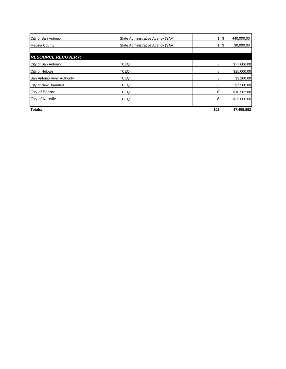| City of San Antonio         | State Administrative Agency (SAA) | 1.  | 440,000.00<br>\$ |
|-----------------------------|-----------------------------------|-----|------------------|
| <b>Medina County</b>        | State Administrative Agency (SAA) |     | 30,000.00<br>\$  |
|                             |                                   |     |                  |
| <b>RESOURCE RECOVERY:</b>   |                                   |     |                  |
| City of San Antonio         | <b>TCEQ</b>                       | 8   | \$77,606.00      |
| City of Helotes             | <b>TCEQ</b>                       | 8   | \$25,000.00      |
| San Antonio River Authority | <b>TCEQ</b>                       | 8   | \$3,200.00       |
| City of New Braunfels       | <b>TCEQ</b>                       | 8   | \$7,500.00       |
| City of Boerne              | <b>TCEQ</b>                       | 8   | \$18,582.00      |
| City of Kerrvile            | <b>TCEQ</b>                       | 8   | \$25,000.00      |
| Totals:                     |                                   | 102 | \$7,455,882      |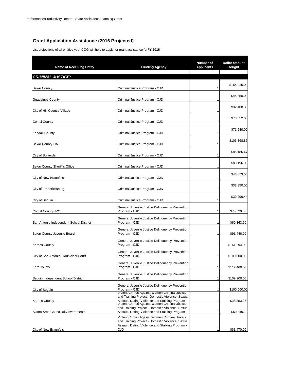## **Grant Application Assistance (2016 Projected)**

List projections of all entities your COG will help to apply for grant assistance for **FY 2016**:

| <b>Name of Receiving Entity</b>         | <b>Funding Agency</b>                                                                                                                                | Number of<br><b>Applicants</b> | Dollar amount<br>sought |
|-----------------------------------------|------------------------------------------------------------------------------------------------------------------------------------------------------|--------------------------------|-------------------------|
| <b>CRIMINAL JUSTICE:</b>                |                                                                                                                                                      |                                |                         |
|                                         |                                                                                                                                                      |                                | \$165,215.00            |
| Bexar County                            | Criminal Justice Program - CJD                                                                                                                       | 1                              |                         |
| <b>Guadalupe County</b>                 | Criminal Justice Program - CJD                                                                                                                       | 1                              | \$45,350.00             |
|                                         |                                                                                                                                                      | 1                              | \$32,480.00             |
| City of Hill Country Village            | Criminal Justice Program - CJD                                                                                                                       |                                | \$70,552.00             |
| Comal County                            | Criminal Justice Program - CJD                                                                                                                       | 1                              |                         |
| Kendall County                          | Criminal Justice Program - CJD                                                                                                                       | 1                              | \$71,540.00             |
| Bexar County-DA                         | Criminal Justice Program - CJD                                                                                                                       | 1                              | \$103,368.85            |
|                                         |                                                                                                                                                      |                                | \$85,186.47             |
| City of Bulverde                        | Criminal Justice Program - CJD                                                                                                                       | 1                              |                         |
| Bexar County Sheriff's Office           | Criminal Justice Program - CJD                                                                                                                       | 1                              | \$83,196.00             |
| City of New Braunfels                   | Criminal Justice Program - CJD                                                                                                                       | 1                              | \$46,873.00             |
|                                         |                                                                                                                                                      |                                | \$32,850.00             |
| City of Fredericksburg                  | Criminal Justice Program - CJD                                                                                                                       | 1                              |                         |
| City of Seguin                          | Criminal Justice Program - CJD                                                                                                                       | 1                              | \$39,296.44             |
| Comal County JPO                        | General Juvenile Justice Delinquency Prevention<br>Program - CJD                                                                                     | 1                              | \$75,320.00             |
| San Antonio Independent School District | General Juvenile Justice Delinquency Prevention<br>Program - CJD                                                                                     | 1                              | \$60,363.60             |
| Bexar County Juvenile Board             | General Juvenile Justice Delinquency Prevention<br>Program - CJD                                                                                     | 1                              | \$91,446.00             |
|                                         | General Juvenile Justice Delinquency Prevention<br>Program - CJD                                                                                     | 1                              | \$161,294.00            |
| <b>Karnes County</b>                    | General Juvenile Justice Delinquency Prevention                                                                                                      |                                |                         |
| City of San Antonio - Municipal Court   | Program - CJD                                                                                                                                        | 1                              | \$100,000.00            |
| Kerr County                             | General Juvenile Justice Delinquency Prevention<br>Program - CJD                                                                                     | 1                              | \$112,460.00            |
| Seguin Independent School District      | General Juvenile Justice Delinquency Prevention<br>Program - CJD                                                                                     | 1                              | \$109,900.00            |
|                                         | General Juvenile Justice Delinguency Prevention                                                                                                      |                                |                         |
| City of Seguin                          | Program - CJD<br>violent Crimes Against women Criminal Justice                                                                                       | 1                              | \$100,000.00            |
| <b>Karnes County</b>                    | and Training Project - Domestic Violence, Sexual                                                                                                     | 1                              | \$38,353.25             |
|                                         | Assault, Dating Violence and Stalking Program -<br>violent Crimes Against women Criminal Justice<br>and Training Project - Domestic Violence, Sexual |                                |                         |
| Alamo Area Council of Governments       | Assault, Dating Violence and Stalking Program -                                                                                                      | 1                              | \$59,849.12             |
|                                         | Violent Crimes Against Women Criminal Justice<br>and Training Project - Domestic Violence, Sexual                                                    |                                |                         |
| City of New Braunfels                   | Assault, Dating Violence and Stalking Program -<br>CJD                                                                                               |                                | \$61,470.00             |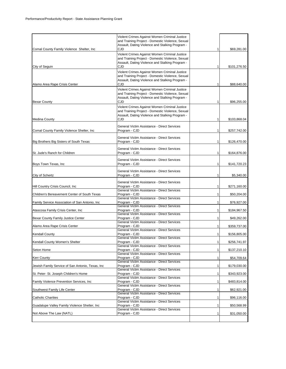|                                                  | Violent Crimes Against Women Criminal Justice<br>and Training Project - Domestic Violence, Sexual<br>Assault, Dating Violence and Stalking Program -        |                |              |
|--------------------------------------------------|-------------------------------------------------------------------------------------------------------------------------------------------------------------|----------------|--------------|
| Comal County Family Violence Shelter, Inc.       | CJD<br>Violent Crimes Against Women Criminal Justice<br>and Training Project - Domestic Violence, Sexual<br>Assault, Dating Violence and Stalking Program - | $1\vert$       | \$69,281.00  |
| City of Seguin                                   | CJD                                                                                                                                                         | 1              | \$101,276.50 |
| Alamo Area Rape Crisis Center                    | Violent Crimes Against Women Criminal Justice<br>and Training Project - Domestic Violence, Sexual<br>Assault, Dating Violence and Stalking Program -<br>CJD | 1              | \$88,640.00  |
|                                                  | Violent Crimes Against Women Criminal Justice<br>and Training Project - Domestic Violence, Sexual<br>Assault, Dating Violence and Stalking Program -        |                |              |
| <b>Bexar County</b>                              | CJD<br>Violent Crimes Against Women Criminal Justice<br>and Training Project - Domestic Violence, Sexual<br>Assault, Dating Violence and Stalking Program - | 1              | \$96,255.00  |
| <b>Medina County</b>                             | CJD                                                                                                                                                         | 1              | \$103,868.04 |
| Comal County Family Violence Shelter, Inc        | General Victim Assistance - Direct Services<br>Program - CJD                                                                                                | 1              | \$257,742.00 |
| Big Brothers Big Sisters of South Texas          | General Victim Assistance - Direct Services<br>Program - CJD                                                                                                | $\mathbf{1}$   | \$126,470.00 |
| St. Jude's Ranch for Children                    | General Victim Assistance - Direct Services<br>Program - CJD                                                                                                | 1              | \$164,876.00 |
| Boys Town Texas, Inc                             | General Victim Assistance - Direct Services<br>Program - CJD                                                                                                | 1              | \$141,720.23 |
| City of Schertz                                  | General Victim Assistance - Direct Services<br>Program - CJD                                                                                                | 1              | \$5,340.00   |
| Hill Country Crisis Council, Inc.                | General Victim Assistance - Direct Services<br>Program - CJD<br>General Victim Assistance - Direct Services                                                 | 1              | \$271,160.00 |
| Children's Bereavement Center of South Texas     | Program - CJD                                                                                                                                               | $\mathbf{1}$   | \$50,204.00  |
| Family Service Association of San Antonio, Inc   | General Victim Assistance - Direct Services<br>Program - CJD<br>General Victim Assistance - Direct Services                                                 | $\mathbf{1}$   | \$76,927.00  |
| Atascosa Family Crisis Center, Inc               | Program - CJD                                                                                                                                               | 1              | \$184,967.50 |
| Bexar County Family Justice Center               | General Victim Assistance - Direct Services<br>Program - CJD<br>General Victim Assistance - Direct Services                                                 | $\mathbf{1}$   | \$49,262.00  |
| Alamo Area Rape Crisis Center                    | Program - CJD                                                                                                                                               | 1              | \$359,737.00 |
| <b>Kendall County</b>                            | General Victim Assistance - Direct Services<br>Program - CJD<br>General Victim Assistance - Direct Services                                                 | 1              | \$156,805.00 |
| Kendall County Women's Shelter                   | Program - CJD                                                                                                                                               | $\mathbf{1}$   | \$256,741.97 |
| Seton Home                                       | General Victim Assistance - Direct Services<br>Program - CJD                                                                                                | $\mathbf{1}$   | \$137,210.10 |
| Kerr County                                      | General Victim Assistance - Direct Services<br>Program - CJD                                                                                                | 1              | \$54,709.64  |
| Jewish Family Service of San Antonio, Texas, Inc | General Victim Assistance - Direct Services<br>Program - CJD                                                                                                | 1              | \$179,030.00 |
| St. Peter- St. Joseph Children's Home            | General Victim Assistance - Direct Services<br>Program - CJD                                                                                                | 1              | \$343,923.00 |
| Family Violence Prevention Services, Inc.        | General Victim Assistance - Direct Services<br>Program - CJD                                                                                                | 1              | \$483,814.00 |
| Southwest Family Life Center                     | General Victim Assistance - Direct Services<br>Program - CJD                                                                                                | 1 <sup>1</sup> | \$62,921.00  |
| <b>Catholic Charities</b>                        | General Victim Assistance - Direct Services<br>Program - CJD                                                                                                | $\mathbf{1}$   | \$96,116.00  |
| Guadalupe Valley Family Violence Shelter, Inc    | General Victim Assistance - Direct Services<br>Program - CJD<br>General Victim Assistance - Direct Services                                                 | $\mathbf{1}$   | \$50,568.99  |
| Not Above The Law (NATL)                         | Program - CJD                                                                                                                                               | 1              | \$31,050.00  |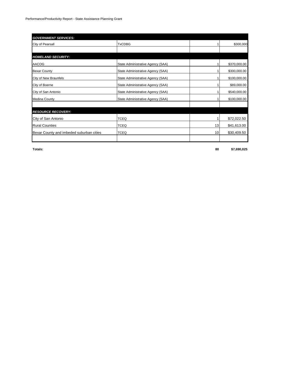| <b>GOVERNMENT SERVICES:</b>              |                                   |    |              |
|------------------------------------------|-----------------------------------|----|--------------|
| City of Pearsall                         | <b>TxCDBG</b>                     |    | \$300,000    |
|                                          |                                   |    |              |
| <b>HOMELAND SECURITY:</b>                |                                   |    |              |
| AACOG                                    | State Administrative Agency (SAA) |    | \$370,000.00 |
| <b>Bexar County</b>                      | State Administrative Agency (SAA) |    | \$300,000.00 |
| City of New Braunfels                    | State Administrative Agency (SAA) |    | \$100,000.00 |
| City of Boerne                           | State Administrative Agency (SAA) |    | \$89,000.00  |
| City of San Antonio                      | State Administrative Agency (SAA) |    | \$540,000.00 |
| <b>Medina County</b>                     | State Administrative Agency (SAA) |    | \$100,000.00 |
|                                          |                                   |    |              |
| <b>RESOURCE RECOVERY:</b>                |                                   |    |              |
| City of San Antonio                      | <b>TCEQ</b>                       |    | \$72,022.50  |
| <b>Rural Counties</b>                    | <b>TCEQ</b>                       | 13 | \$41,613.00  |
| Bexar County and imbeded suburban cities | <b>TCEQ</b>                       | 10 | \$30,409.50  |
|                                          |                                   |    |              |

**Totals: 80 \$7,690,025**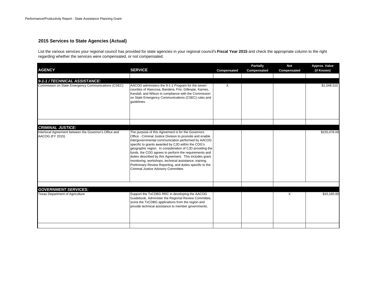#### **2015 Services to State Agencies (Actual)**

List the various services your regional council has provided for state agencies in your regional council's **Fiscal Year 2015** and check the appropriate column to the right regarding whether the services were compensated, or not compensated.

| <b>AGENCY</b>                                                                                         | <b>SERVICE</b>                                                                                                                                                                                                                                                                                                                                                                                                                                                                                                                                                           | Compensated | <b>Partially</b><br>Compensated | <b>Not</b><br>Compensated | Approx. Value<br>(if Known) |
|-------------------------------------------------------------------------------------------------------|--------------------------------------------------------------------------------------------------------------------------------------------------------------------------------------------------------------------------------------------------------------------------------------------------------------------------------------------------------------------------------------------------------------------------------------------------------------------------------------------------------------------------------------------------------------------------|-------------|---------------------------------|---------------------------|-----------------------------|
|                                                                                                       |                                                                                                                                                                                                                                                                                                                                                                                                                                                                                                                                                                          |             |                                 |                           |                             |
| 9-1-1 / TECHNICAL ASSISTANCE:<br>Commission on State Emergency Communications (CSEC)                  | AACOG administers the 9-1-1 Program for the seven<br>counties of Atascosa, Bandera, Frio, Gillespie, Karnes,<br>Kendall, and Wilson in compliance with the Commission<br>on State Emergency Communications (CSEC) rules and<br>quidelines.                                                                                                                                                                                                                                                                                                                               | X           |                                 |                           | \$1,548,310                 |
|                                                                                                       |                                                                                                                                                                                                                                                                                                                                                                                                                                                                                                                                                                          |             |                                 |                           |                             |
| <b>CRIMINAL JUSTICE:</b><br>Interlocal Agreement between the Governor's Office and<br>AACOG (FY 2015) | The purpose of this Agreement is for the Governors<br>Office - Criminal Justice Division to promote and enable<br>intergovernmental communication performed by AACOG<br>specific to grants awarded by CJD within the COG's<br>geographic region. In consideration of CJD providing the<br>funds, the COG agrees to perform the requirements and<br>duties described by this Agreement. This includes grant<br>monitoring, workshops, technical assistance, training,<br>Preliminary Review Reporting, and duties specific to the<br>Criminal Justice Advisory Committee. |             |                                 |                           | \$155,078.00                |
|                                                                                                       |                                                                                                                                                                                                                                                                                                                                                                                                                                                                                                                                                                          |             |                                 |                           |                             |
| <b>GOVERNMENT SERVICES:</b><br><b>Texas Department of Agriculture</b>                                 | Support the TxCDBG RRC in developing the AACOG<br>Guidebook, Administer the Regional Review Committee,<br>score the TxCDBG applications from the region and<br>provide technical assistance to member governments.                                                                                                                                                                                                                                                                                                                                                       |             |                                 | Χ                         | \$10,165.00                 |
|                                                                                                       |                                                                                                                                                                                                                                                                                                                                                                                                                                                                                                                                                                          |             |                                 |                           |                             |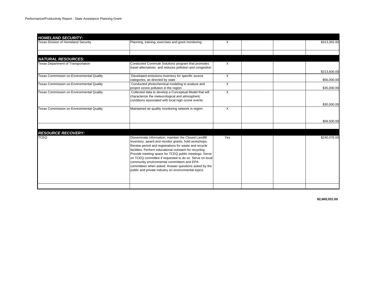| <b>HOMELAND SECURITY:</b>                 |                                                                                                                                                                                                                                                                                                                                                                                                                                                                                                                     |          |  |              |
|-------------------------------------------|---------------------------------------------------------------------------------------------------------------------------------------------------------------------------------------------------------------------------------------------------------------------------------------------------------------------------------------------------------------------------------------------------------------------------------------------------------------------------------------------------------------------|----------|--|--------------|
| Texas Division of Homeland Security       | Planning, training, exercises and grant monitoring                                                                                                                                                                                                                                                                                                                                                                                                                                                                  | X        |  | \$313,302.00 |
|                                           |                                                                                                                                                                                                                                                                                                                                                                                                                                                                                                                     |          |  |              |
| <b>NATURAL RESOURCES:</b>                 |                                                                                                                                                                                                                                                                                                                                                                                                                                                                                                                     |          |  |              |
| <b>Texas Department of Transportation</b> | Conducted Commute Solutions program that promotes                                                                                                                                                                                                                                                                                                                                                                                                                                                                   | $\times$ |  |              |
|                                           | travel alternatives and reduces pollution and congestion                                                                                                                                                                                                                                                                                                                                                                                                                                                            |          |  | \$213,600.00 |
| Texas Commission on Environmental Quality | Developed emissions inventory for specific source                                                                                                                                                                                                                                                                                                                                                                                                                                                                   | X        |  |              |
|                                           | categories, as directed by state                                                                                                                                                                                                                                                                                                                                                                                                                                                                                    |          |  | \$56,000.00  |
| Texas Commission on Environmental Quality | Conducted photochemical modeling to analyze and                                                                                                                                                                                                                                                                                                                                                                                                                                                                     | X        |  |              |
|                                           | project ozone pollution in the region                                                                                                                                                                                                                                                                                                                                                                                                                                                                               |          |  | \$35,000.00  |
| Texas Commission on Environmental Quality | Collected data to develop a Conceptual Model that will<br>characterize the meteorological and atmospheric                                                                                                                                                                                                                                                                                                                                                                                                           | X        |  |              |
|                                           | conditions associated with local high ozone events                                                                                                                                                                                                                                                                                                                                                                                                                                                                  |          |  | \$30,000.00  |
| Texas Commission on Environmental Quality | Maintained air quality monitoring network in region                                                                                                                                                                                                                                                                                                                                                                                                                                                                 | X        |  |              |
|                                           |                                                                                                                                                                                                                                                                                                                                                                                                                                                                                                                     |          |  |              |
|                                           |                                                                                                                                                                                                                                                                                                                                                                                                                                                                                                                     |          |  |              |
|                                           |                                                                                                                                                                                                                                                                                                                                                                                                                                                                                                                     |          |  | \$58,500.00  |
|                                           |                                                                                                                                                                                                                                                                                                                                                                                                                                                                                                                     |          |  |              |
| <b>RESOURCE RECOVERY:</b>                 |                                                                                                                                                                                                                                                                                                                                                                                                                                                                                                                     |          |  |              |
| <b>TCEQ</b>                               | Disseminate information; maintain the Closed Landfill<br>Inventory, award and monitor grants, hold workshops.<br>Review permit and registrations for waste and recycle<br>facilities. Perform educational outreach for recycling.<br>Provide meeting space for TCEQ public meetings. Serve<br>on TCEQ committee if requested to do so. Serve on local<br>community environmental committees and EPA<br>committees when asked. Answer questions asked by the<br>public and private industry on environmental topics. | Yes      |  | \$240,076.00 |
|                                           |                                                                                                                                                                                                                                                                                                                                                                                                                                                                                                                     |          |  |              |

**\$2,660,031.00**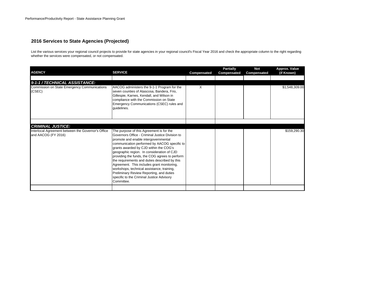## **2016 Services to State Agencies (Projected)**

List the various services your regional council projects to provide for state agencies in your regional council's Fiscal Year 2016 and check the appropriate column to the right regarding whether the services were compensated, or not compensated.

| <b>AGENCY</b>                                                                                         | <b>SERVICE</b>                                                                                                                                                                                                                                                                                                                                                                                                                                                                                                                                                                    | Compensated | <b>Partially</b><br>Compensated | <b>Not</b><br>Compensated | Approx. Value<br>(if Known) |
|-------------------------------------------------------------------------------------------------------|-----------------------------------------------------------------------------------------------------------------------------------------------------------------------------------------------------------------------------------------------------------------------------------------------------------------------------------------------------------------------------------------------------------------------------------------------------------------------------------------------------------------------------------------------------------------------------------|-------------|---------------------------------|---------------------------|-----------------------------|
|                                                                                                       |                                                                                                                                                                                                                                                                                                                                                                                                                                                                                                                                                                                   |             |                                 |                           |                             |
| 9-1-1 / TECHNICAL ASSISTANCE:<br>Commission on State Emergency Communications<br>(CSEC)               | AACOG administers the 9-1-1 Program for the<br>seven counties of Atascosa, Bandera, Frio,<br>Gillespie, Karnes, Kendall, and Wilson in<br>compliance with the Commission on State<br>Emergency Communications (CSEC) rules and<br>guidelines.                                                                                                                                                                                                                                                                                                                                     | X           |                                 |                           | \$1,548,309.00              |
|                                                                                                       |                                                                                                                                                                                                                                                                                                                                                                                                                                                                                                                                                                                   |             |                                 |                           |                             |
| <b>CRIMINAL JUSTICE:</b><br>Interlocal Agreement between the Governor's Office<br>and AACOG (FY 2016) | The purpose of this Agreement is for the<br>Governors Office - Criminal Justice Division to<br>promote and enable intergovernmental<br>communication performed by AACOG specific to<br>grants awarded by CJD within the COG's<br>geographic region. In consideration of CJD<br>providing the funds, the COG agrees to perform<br>the requirements and duties described by this<br>Agreement. This includes grant monitoring,<br>workshops, technical assistance, training,<br>Preliminary Review Reporting, and duties<br>specific to the Criminal Justice Advisory<br>Committee. |             |                                 |                           | \$159,290.30                |
|                                                                                                       |                                                                                                                                                                                                                                                                                                                                                                                                                                                                                                                                                                                   |             |                                 |                           |                             |